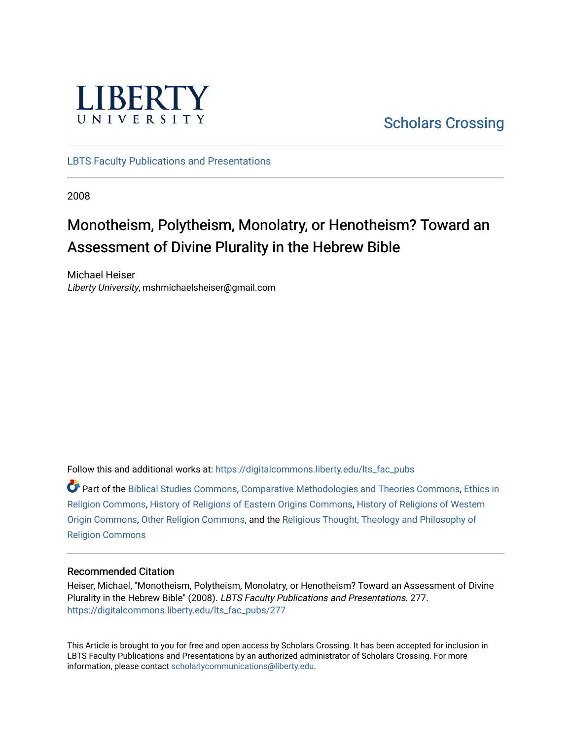

[Scholars Crossing](https://digitalcommons.liberty.edu/) 

[LBTS Faculty Publications and Presentations](https://digitalcommons.liberty.edu/lts_fac_pubs)

2008

# Monotheism, Polytheism, Monolatry, or Henotheism? Toward an Assessment of Divine Plurality in the Hebrew Bible

Michael Heiser Liberty University, mshmichaelsheiser@gmail.com

Follow this and additional works at: [https://digitalcommons.liberty.edu/lts\\_fac\\_pubs](https://digitalcommons.liberty.edu/lts_fac_pubs?utm_source=digitalcommons.liberty.edu%2Flts_fac_pubs%2F277&utm_medium=PDF&utm_campaign=PDFCoverPages) 

Part of the [Biblical Studies Commons,](http://network.bepress.com/hgg/discipline/539?utm_source=digitalcommons.liberty.edu%2Flts_fac_pubs%2F277&utm_medium=PDF&utm_campaign=PDFCoverPages) [Comparative Methodologies and Theories Commons](http://network.bepress.com/hgg/discipline/540?utm_source=digitalcommons.liberty.edu%2Flts_fac_pubs%2F277&utm_medium=PDF&utm_campaign=PDFCoverPages), [Ethics in](http://network.bepress.com/hgg/discipline/541?utm_source=digitalcommons.liberty.edu%2Flts_fac_pubs%2F277&utm_medium=PDF&utm_campaign=PDFCoverPages)  [Religion Commons](http://network.bepress.com/hgg/discipline/541?utm_source=digitalcommons.liberty.edu%2Flts_fac_pubs%2F277&utm_medium=PDF&utm_campaign=PDFCoverPages), [History of Religions of Eastern Origins Commons,](http://network.bepress.com/hgg/discipline/543?utm_source=digitalcommons.liberty.edu%2Flts_fac_pubs%2F277&utm_medium=PDF&utm_campaign=PDFCoverPages) [History of Religions of Western](http://network.bepress.com/hgg/discipline/542?utm_source=digitalcommons.liberty.edu%2Flts_fac_pubs%2F277&utm_medium=PDF&utm_campaign=PDFCoverPages) [Origin Commons,](http://network.bepress.com/hgg/discipline/542?utm_source=digitalcommons.liberty.edu%2Flts_fac_pubs%2F277&utm_medium=PDF&utm_campaign=PDFCoverPages) [Other Religion Commons](http://network.bepress.com/hgg/discipline/545?utm_source=digitalcommons.liberty.edu%2Flts_fac_pubs%2F277&utm_medium=PDF&utm_campaign=PDFCoverPages), and the [Religious Thought, Theology and Philosophy of](http://network.bepress.com/hgg/discipline/544?utm_source=digitalcommons.liberty.edu%2Flts_fac_pubs%2F277&utm_medium=PDF&utm_campaign=PDFCoverPages) [Religion Commons](http://network.bepress.com/hgg/discipline/544?utm_source=digitalcommons.liberty.edu%2Flts_fac_pubs%2F277&utm_medium=PDF&utm_campaign=PDFCoverPages)

## Recommended Citation

Heiser, Michael, "Monotheism, Polytheism, Monolatry, or Henotheism? Toward an Assessment of Divine Plurality in the Hebrew Bible" (2008). LBTS Faculty Publications and Presentations. 277. [https://digitalcommons.liberty.edu/lts\\_fac\\_pubs/277](https://digitalcommons.liberty.edu/lts_fac_pubs/277?utm_source=digitalcommons.liberty.edu%2Flts_fac_pubs%2F277&utm_medium=PDF&utm_campaign=PDFCoverPages) 

This Article is brought to you for free and open access by Scholars Crossing. It has been accepted for inclusion in LBTS Faculty Publications and Presentations by an authorized administrator of Scholars Crossing. For more information, please contact [scholarlycommunications@liberty.edu](mailto:scholarlycommunications@liberty.edu).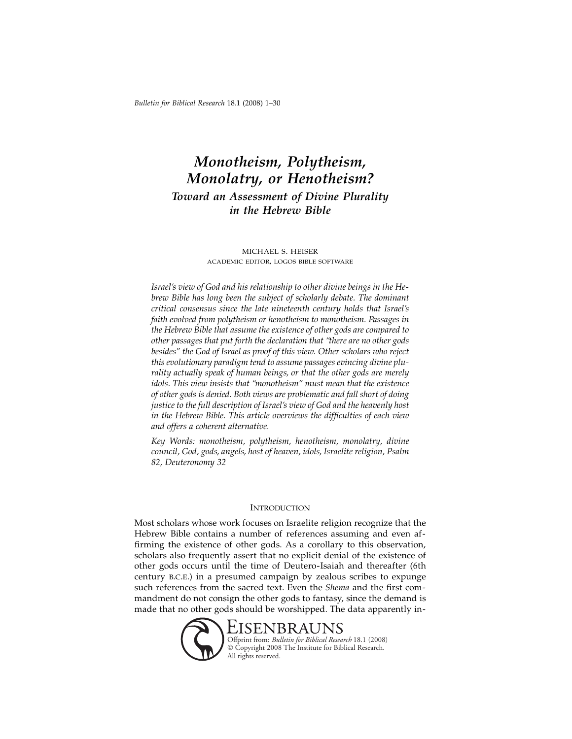## *Monotheism, Polytheism, Monolatry, or Henotheism? Toward an Assessment of Divine Plurality in the Hebrew Bible*

#### michael s. heiser academic editor, logos bible software

*Israel's view of God and his relationship to other divine beings in the Hebrew Bible has long been the subject of scholarly debate. The dominant critical consensus since the late nineteenth century holds that Israel's faith evolved from polytheism or henotheism to monotheism. Passages in the Hebrew Bible that assume the existence of other gods are compared to other passages that put forth the declaration that "there are no other gods besides" the God of Israel as proof of this view. Other scholars who reject this evolutionary paradigm tend to assume passages evincing divine plurality actually speak of human beings, or that the other gods are merely idols. This view insists that "monotheism" must mean that the existence of other gods is denied. Both views are problematic and fall short of doing justice to the full description of Israel's view of God and the heavenly host in the Hebrew Bible. This article overviews the difficulties of each view and offers a coherent alternative.*

*Key Words: monotheism, polytheism, henotheism, monolatry, divine council, God, gods, angels, host of heaven, idols, Israelite religion, Psalm 82, Deuteronomy 32*

#### **INTRODUCTION**

Most scholars whose work focuses on Israelite religion recognize that the Hebrew Bible contains a number of references assuming and even affirming the existence of other gods. As a corollary to this observation, scholars also frequently assert that no explicit denial of the existence of other gods occurs until the time of Deutero-Isaiah and thereafter (6th century b.c.e.) in a presumed campaign by zealous scribes to expunge such references from the sacred text. Even the *Shema* and the first commandment do not consign the other gods to fantasy, since the demand is made that no other gods should be worshipped. The data apparently in-

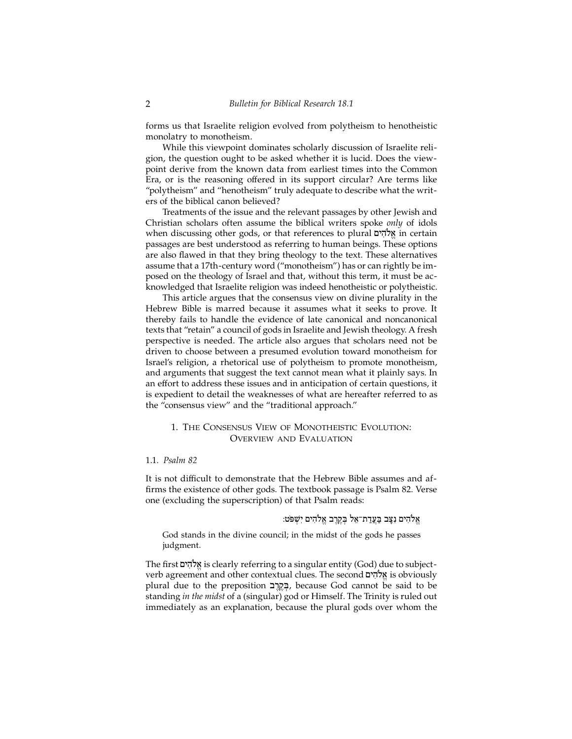forms us that Israelite religion evolved from polytheism to henotheistic monolatry to monotheism.

While this viewpoint dominates scholarly discussion of Israelite religion, the question ought to be asked whether it is lucid. Does the viewpoint derive from the known data from earliest times into the Common Era, or is the reasoning offered in its support circular? Are terms like "polytheism" and "henotheism" truly adequate to describe what the writers of the biblical canon believed?

Treatments of the issue and the relevant passages by other Jewish and Christian scholars often assume the biblical writers spoke *only* of idols when discussing other gods, or that references to plural אֱלֹהִים in certain passages are best understood as referring to human beings. These options are also flawed in that they bring theology to the text. These alternatives assume that a 17th-century word ("monotheism") has or can rightly be imposed on the theology of Israel and that, without this term, it must be acknowledged that Israelite religion was indeed henotheistic or polytheistic.

This article argues that the consensus view on divine plurality in the Hebrew Bible is marred because it assumes what it seeks to prove. It thereby fails to handle the evidence of late canonical and noncanonical texts that "retain" a council of gods in Israelite and Jewish theology. A fresh perspective is needed. The article also argues that scholars need not be driven to choose between a presumed evolution toward monotheism for Israel's religion, a rhetorical use of polytheism to promote monotheism, and arguments that suggest the text cannot mean what it plainly says. In an effort to address these issues and in anticipation of certain questions, it is expedient to detail the weaknesses of what are hereafter referred to as the "consensus view" and the "traditional approach."

## 1. The Consensus View of Monotheistic Evolution: Overview and Evaluation

#### 1.1*. Psalm 82*

It is not difficult to demonstrate that the Hebrew Bible assumes and affirms the existence of other gods. The textbook passage is Psalm 82. Verse one (excluding the superscription) of that Psalm reads:

```
הים נִצַּב בַּעֲדַת־אֵל בְּקֵרֵב אֱלֹהִים יְשָׁפּט: "
```
God stands in the divine council; in the midst of the gods he passes judgment.

The first אֱלֹהִים is clearly referring to a singular entity (God) due to subjectverb agreement and other contextual clues. The second אֱלֹהִים is obviously plural due to the preposition בְּקֵרֶב, because God cannot be said to be standing *in the midst* of a (singular) god or Himself. The Trinity is ruled out immediately as an explanation, because the plural gods over whom the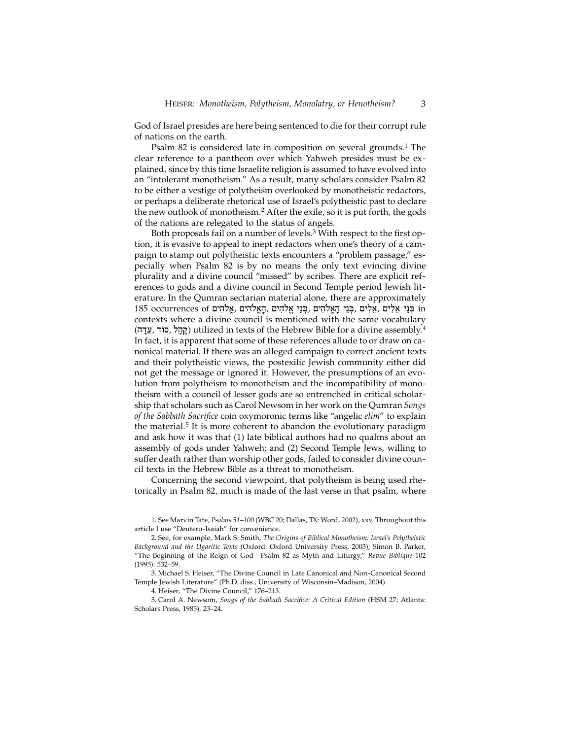God of Israel presides are here being sentenced to die for their corrupt rule of nations on the earth.

Psalm 82 is considered late in composition on several grounds.<sup>1</sup> The clear reference to a pantheon over which Yahweh presides must be explained, since by this time Israelite religion is assumed to have evolved into an "intolerant monotheism." As a result, many scholars consider Psalm 82 to be either a vestige of polytheism overlooked by monotheistic redactors, or perhaps a deliberate rhetorical use of Israel's polytheistic past to declare the new outlook of monotheism.2 After the exile, so it is put forth, the gods of the nations are relegated to the status of angels.

Both proposals fail on a number of levels.<sup>3</sup> With respect to the first option, it is evasive to appeal to inept redactors when one's theory of a campaign to stamp out polytheistic texts encounters a "problem passage," especially when Psalm 82 is by no means the only text evincing divine plurality and a divine council "missed" by scribes. There are explicit references to gods and a divine council in Second Temple period Jewish literature. In the Qumran sectarian material alone, there are approximately 185 occurrences of בְּנֵי אֱלִים ,בְּנֵי הַאֱלֹהִים ,הַאֱלֹהִים ,אֱלֹהִים ,אֱלֹהִים in contexts where a divine council is mentioned with the same vocabulary (קהל, סוֹד, עדה) utilized in texts of the Hebrew Bible for a divine assembly.<sup>4</sup> In fact, it is apparent that some of these references allude to or draw on canonical material. If there was an alleged campaign to correct ancient texts and their polytheistic views, the postexilic Jewish community either did not get the message or ignored it. However, the presumptions of an evolution from polytheism to monotheism and the incompatibility of monotheism with a council of lesser gods are so entrenched in critical scholarship that scholars such as Carol Newsom in her work on the Qumran *Songs of the Sabbath Sacrifice* coin oxymoronic terms like "angelic *elim*" to explain the material.<sup>5</sup> It is more coherent to abandon the evolutionary paradigm and ask how it was that (1) late biblical authors had no qualms about an assembly of gods under Yahweh; and (2) Second Temple Jews, willing to suffer death rather than worship other gods, failed to consider divine council texts in the Hebrew Bible as a threat to monotheism.

Concerning the second viewpoint, that polytheism is being used rhetorically in Psalm 82, much is made of the last verse in that psalm, where

1. See Marvin Tate, *Psalms 51–100* (WBC 20; Dallas, TX: Word, 2002), xxv. Throughout this article I use "Deutero-Isaiah" for convenience.

2. See, for example, Mark S. Smith, *The Origins of Biblical Monotheism: Israel's Polytheistic Background and the Ugaritic Texts* (Oxford: Oxford University Press, 2003); Simon B. Parker, "The Beginning of the Reign of God—Psalm 82 as Myth and Liturgy," *Revue Biblique* 102 (1995): 532–59.

3. Michael S. Heiser, "The Divine Council in Late Canonical and Non-Canonical Second Temple Jewish Literature" (Ph.D. diss., University of Wisconsin–Madison, 2004).

4. Heiser, "The Divine Council," 176–213.

5. Carol A. Newsom, *Songs of the Sabbath Sacrifice: A Critical Edition* (HSM 27; Atlanta: Scholars Press, 1985)*,* 23–24.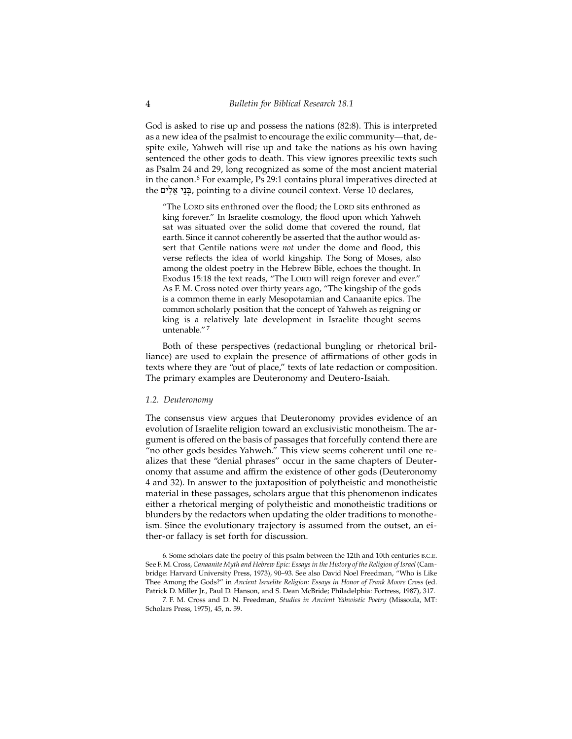God is asked to rise up and possess the nations (82:8). This is interpreted as a new idea of the psalmist to encourage the exilic community—that, despite exile, Yahweh will rise up and take the nations as his own having sentenced the other gods to death. This view ignores preexilic texts such as Psalm 24 and 29, long recognized as some of the most ancient material in the canon.<sup>6</sup> For example, Ps 29:1 contains plural imperatives directed at the בְּנֵי אֱלִים, pointing to a divine council context. Verse 10 declares,

"The LORD sits enthroned over the flood; the LORD sits enthroned as king forever." In Israelite cosmology, the flood upon which Yahweh sat was situated over the solid dome that covered the round, flat earth. Since it cannot coherently be asserted that the author would assert that Gentile nations were *not* under the dome and flood, this verse reflects the idea of world kingship. The Song of Moses, also among the oldest poetry in the Hebrew Bible, echoes the thought. In Exodus 15:18 the text reads, "The LORD will reign forever and ever." As F. M. Cross noted over thirty years ago, "The kingship of the gods is a common theme in early Mesopotamian and Canaanite epics. The common scholarly position that the concept of Yahweh as reigning or king is a relatively late development in Israelite thought seems untenable." <sup>7</sup>

Both of these perspectives (redactional bungling or rhetorical brilliance) are used to explain the presence of affirmations of other gods in texts where they are "out of place," texts of late redaction or composition. The primary examples are Deuteronomy and Deutero-Isaiah.

#### *1.2. Deuteronomy*

The consensus view argues that Deuteronomy provides evidence of an evolution of Israelite religion toward an exclusivistic monotheism. The argument is offered on the basis of passages that forcefully contend there are "no other gods besides Yahweh." This view seems coherent until one realizes that these "denial phrases" occur in the same chapters of Deuteronomy that assume and affirm the existence of other gods (Deuteronomy 4 and 32). In answer to the juxtaposition of polytheistic and monotheistic material in these passages, scholars argue that this phenomenon indicates either a rhetorical merging of polytheistic and monotheistic traditions or blunders by the redactors when updating the older traditions to monotheism. Since the evolutionary trajectory is assumed from the outset, an either-or fallacy is set forth for discussion.

6. Some scholars date the poetry of this psalm between the 12th and 10th centuries b.c.e. See F. M. Cross, *Canaanite Myth and Hebrew Epic: Essays in the History of the Religion of Israel* (Cambridge: Harvard University Press, 1973), 90–93. See also David Noel Freedman, "Who is Like Thee Among the Gods?" in *Ancient Israelite Religion: Essays in Honor of Frank Moore Cross* (ed. Patrick D. Miller Jr., Paul D. Hanson, and S. Dean McBride; Philadelphia: Fortress, 1987), 317.

7. F. M. Cross and D. N. Freedman, *Studies in Ancient Yahwistic Poetry* (Missoula, MT: Scholars Press, 1975), 45, n. 59.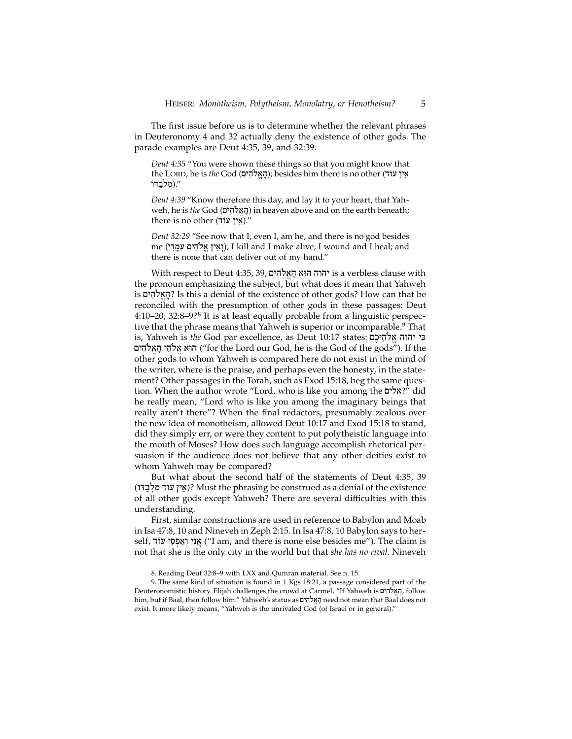The first issue before us is to determine whether the relevant phrases in Deuteronomy 4 and 32 actually deny the existence of other gods. The parade examples are Deut 4:35, 39, and 32:39.

*Deut 4:35* "You were shown these things so that you might know that the LORD, he is *the* God (הַאֵלהִים); besides him there is no other (אִין עוֹד /מַלְבַדוֹ)."

*Deut 4:39* "Know therefore this day, and lay it to your heart, that Yahweh, he is *the* God (הַאֱלֹהִים) in heaven above and on the earth beneath; there is no other (אין עוֹד)."

*Deut 32:29* "See now that I, even I, am he, and there is no god besides me (וְאֵין אֱלֹהִים עְמֵדִי); I kill and I make alive; I wound and I heal; and there is none that can deliver out of my hand."

With respect to Deut 4:35, 39, µyhIløa"h:aWh hwhy is a verbless clause with the pronoun emphasizing the subject, but what does it mean that Yahweh is µyhIløa"h:? Is this a denial of the existence of other gods? How can that be reconciled with the presumption of other gods in these passages: Deut 4:10–20; 32:8–9?8 It is at least equally probable from a linguistic perspective that the phrase means that Yahweh is superior or incomparable.<sup>9</sup> That is, Yahweh is *the* God par excellence, as Deut 10:17 states: פִי יהוה אֱלֹהֶיכֶם הוא אלהי האלהים ("for the Lord our God, he is the God of the gods"). If the other gods to whom Yahweh is compared here do not exist in the mind of the writer, where is the praise, and perhaps even the honesty, in the statement? Other passages in the Torah, such as Exod 15:18, beg the same question. When the author wrote "Lord, who is like you among the "2x?" did he really mean, "Lord who is like you among the imaginary beings that really aren't there"? When the final redactors, presumably zealous over the new idea of monotheism, allowed Deut 10:17 and Exod 15:18 to stand, did they simply err, or were they content to put polytheistic language into the mouth of Moses? How does such language accomplish rhetorical persuasion if the audience does not believe that any other deities exist to whom Yahweh may be compared?

But what about the second half of the statements of Deut 4:35, 39 (אֵין עוֹד מִלְבַדּוֹ)? Must the phrasing be construed as a denial of the existence of all other gods except Yahweh? There are several difficulties with this understanding.

First, similar constructions are used in reference to Babylon and Moab in Isa 47:8, 10 and Nineveh in Zeph 2:15. In Isa 47:8, 10 Babylon says to herself, אֲנִי וְאֲפְסִי עוֹד ("I am, and there is none else besides me"). The claim is not that she is the only city in the world but that *she has no rival*. Nineveh

<sup>8.</sup> Reading Deut 32:8–9 with LXX and Qumran material. See n. 15.

<sup>9.</sup> The same kind of situation is found in 1 Kgs 18:21, a passage considered part of the Deuteronomistic history. Elijah challenges the crowd at Carmel, "If Yahweh is הַאֵלֹהִים, follow him, but if Baal, then follow him." Yahweh's status as וַאֱלֹהִים need not mean that Baal does not exist. It more likely means, "Yahweh is the unrivaled God (of Israel or in general)."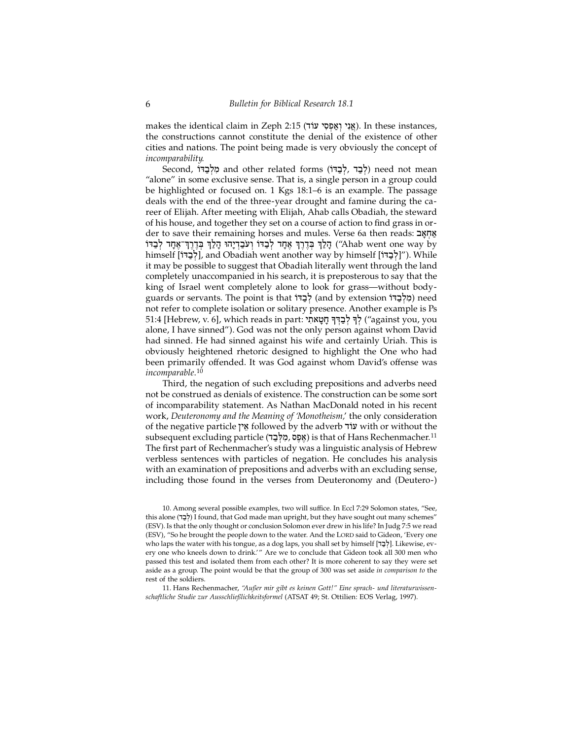makes the identical claim in Zeph 2:15 (אֵנִי וְאֵפְסִי עוֹד). In these instances, the constructions cannot constitute the denial of the existence of other cities and nations. The point being made is very obviously the concept of *incomparability*.

Second, מַלְבָּדוֹ and other related forms (לְבָד , לְבָדוֹ) need not mean "alone" in some exclusive sense. That is, a single person in a group could be highlighted or focused on. 1 Kgs 18:1–6 is an example. The passage deals with the end of the three-year drought and famine during the career of Elijah. After meeting with Elijah, Ahab calls Obadiah, the steward of his house, and together they set on a course of action to find grass in order to save their remaining horses and mules. Verse 6a then reads: אֲחָאֲב יָהַלַּךְ בְּדֶרֶךְ אֶחַד לְבָדוֹ וְעֹבָדְיַהוּ הַלַרְ בְּדֶרֶךְ־אֶחַד לְבַדוֹ ("Ahab went one way by himself [לְבַדּוֹ], and Obadiah went another way by himself [יֹקְבָדוֹ]"). While it may be possible to suggest that Obadiah literally went through the land completely unaccompanied in his search, it is preposterous to say that the king of Israel went completely alone to look for grass—without bodyguards or servants. The point is that לְבָדוֹ (and by extension (מְלְבַדוֹ) need not refer to complete isolation or solitary presence. Another example is Ps 51:4 [Hebrew, v. 6], which reads in part: לְבְדִּדְּ חֲטָאתִי ("against you, you alone, I have sinned"). God was not the only person against whom David had sinned. He had sinned against his wife and certainly Uriah. This is obviously heightened rhetoric designed to highlight the One who had been primarily offended. It was God against whom David's offense was *incomparable*. 10

Third, the negation of such excluding prepositions and adverbs need not be construed as denials of existence. The construction can be some sort of incomparability statement. As Nathan MacDonald noted in his recent work, *Deuteronomy and the Meaning of 'Monotheism,*' the only consideration of the negative particle **I'M** followed by the adverb עוֹד with or without the subsequent excluding particle (אֶפֶס מִלְבָּד) is that of Hans Rechenmacher.<sup>11</sup> The first part of Rechenmacher's study was a linguistic analysis of Hebrew verbless sentences with particles of negation. He concludes his analysis with an examination of prepositions and adverbs with an excluding sense, including those found in the verses from Deuteronomy and (Deutero-)

10. Among several possible examples, two will suffice. In Eccl 7:29 Solomon states, "See, this alone (לְבֵד) I found, that God made man upright, but they have sought out many schemes" (ESV). Is that the only thought or conclusion Solomon ever drew in his life? In Judg 7:5 we read (ESV), "So he brought the people down to the water. And the LORD said to Gideon, 'Every one who laps the water with his tongue, as a dog laps, you shall set by himself [לְבַּד]. Likewise, every one who kneels down to drink.'" Are we to conclude that Gideon took all 300 men who passed this test and isolated them from each other? It is more coherent to say they were set aside as a group. The point would be that the group of 300 was set aside *in comparison to* the rest of the soldiers.

11. Hans Rechenmacher, *"Außer mir gibt es keinen Gott!" Eine sprach- und literaturwissenschaftliche Studie zur Ausschließlichkeitsformel* (ATSAT 49; St. Ottilien: EOS Verlag, 1997).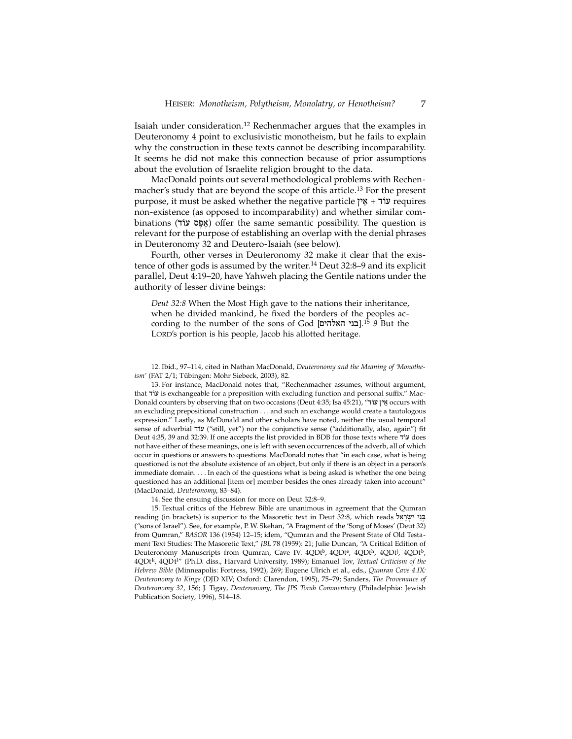Isaiah under consideration.12 Rechenmacher argues that the examples in Deuteronomy 4 point to exclusivistic monotheism, but he fails to explain why the construction in these texts cannot be describing incomparability. It seems he did not make this connection because of prior assumptions about the evolution of Israelite religion brought to the data.

MacDonald points out several methodological problems with Rechenmacher's study that are beyond the scope of this article.13 For the present purpose, it must be asked whether the negative particle  $\gamma$  $\gamma$  +  $\gamma$  $\gamma$  requires non-existence (as opposed to incomparability) and whether similar combinations (אֵפָּס עוֹד) offer the same semantic possibility. The question is relevant for the purpose of establishing an overlap with the denial phrases in Deuteronomy 32 and Deutero-Isaiah (see below).

Fourth, other verses in Deuteronomy 32 make it clear that the existence of other gods is assumed by the writer.14 Deut 32:8–9 and its explicit parallel, Deut 4:19–20, have Yahweh placing the Gentile nations under the authority of lesser divine beings:

*Deut 32:8* When the Most High gave to the nations their inheritance, when he divided mankind, he fixed the borders of the peoples according to the number of the sons of God [**בני האלהים**].<sup>15</sup> 9 But the LORD's portion is his people, Jacob his allotted heritage.

12. Ibid., 97–114, cited in Nathan MacDonald, *Deuteronomy and the Meaning of 'Monotheism'* (FAT 2/1; Tübingen: Mohr Siebeck, 2003), 82.

13. For instance, MacDonald notes that, "Rechenmacher assumes, without argument, that d/[ is exchangeable for a preposition with excluding function and personal suffix." Mac-Donald counters by observing that on two occasions (Deut 4:35; Isa 45:21), "מַלְן עֹרֹד occurs with an excluding prepositional construction . . . and such an exchange would create a tautologous expression." Lastly, as McDonald and other scholars have noted, neither the usual temporal sense of adverbial עוֹד ("still, yet") nor the conjunctive sense ("additionally, also, again") fit Deut 4:35, 39 and 32:39. If one accepts the list provided in BDB for those texts where  $u$ לוד not have either of these meanings, one is left with seven occurrences of the adverb, all of which occur in questions or answers to questions. MacDonald notes that "in each case, what is being questioned is not the absolute existence of an object, but only if there is an object in a person's immediate domain. . . . In each of the questions what is being asked is whether the one being questioned has an additional [item or] member besides the ones already taken into account" (MacDonald, *Deuteronomy*, 83–84).

14. See the ensuing discussion for more on Deut 32:8–9.

15. Textual critics of the Hebrew Bible are unanimous in agreement that the Qumran reading (in brackets) is superior to the Masoretic text in Deut 32:8, which reads בְּנֵי יִשְׂרָאֵל ("sons of Israel"). See, for example, P. W. Skehan, "A Fragment of the 'Song of Moses' (Deut 32) from Qumran," *BASOR* 136 (1954) 12–15; idem, "Qumran and the Present State of Old Testament Text Studies: The Masoretic Text," *JBL* 78 (1959): 21; Julie Duncan, "A Critical Edition of Deuteronomy Manuscripts from Qumran, Cave IV. 4QDt<sup>b</sup>, 4QDt<sup>e</sup>, 4QDt<sup>h</sup>, 4QDt<sup>b</sup>, 4QDt<sup>b</sup>, 4QDtk, 4QDtl " (Ph.D. diss., Harvard University, 1989); Emanuel Tov, *Textual Criticism of the Hebrew Bible* (Minneapolis: Fortress, 1992), 269; Eugene Ulrich et al., eds., *Qumran Cave 4.IX: Deuteronomy to Kings* (DJD XIV; Oxford: Clarendon, 1995), 75–79; Sanders, *The Provenance of Deuteronomy 32*, 156; J. Tigay, *Deuteronomy, The JPS Torah Commentary* (Philadelphia: Jewish Publication Society, 1996), 514–18.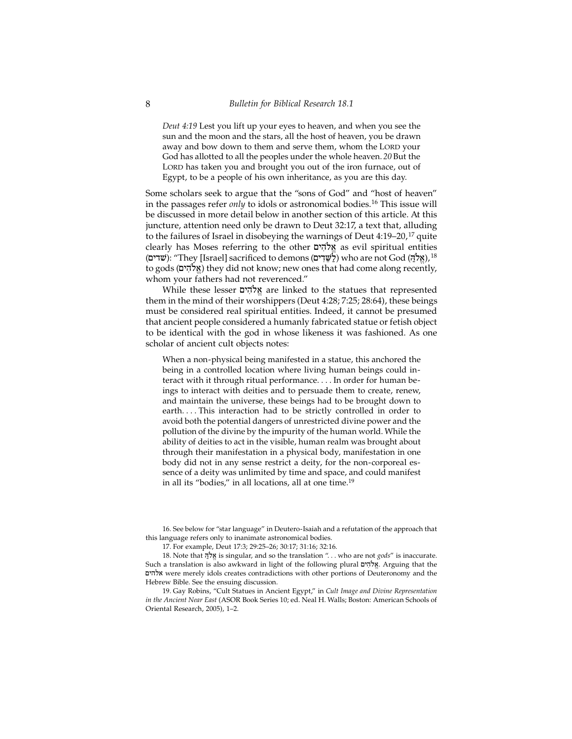*Deut 4:19* Lest you lift up your eyes to heaven, and when you see the sun and the moon and the stars, all the host of heaven, you be drawn away and bow down to them and serve them, whom the LORD your God has allotted to all the peoples under the whole heaven. *20* But the LORD has taken you and brought you out of the iron furnace, out of Egypt, to be a people of his own inheritance, as you are this day.

Some scholars seek to argue that the "sons of God" and "host of heaven" in the passages refer *only* to idols or astronomical bodies.16 This issue will be discussed in more detail below in another section of this article. At this juncture, attention need only be drawn to Deut 32:17, a text that, alluding to the failures of Israel in disobeying the warnings of Deut  $4:19-20$ ,  $17$  quite clearly has Moses referring to the other אלהים as evil spiritual entities (שְׁדִים): "They [Israel] sacrificed to demons (לֹשֵׁדִים) who are not God (אלה),  $^{18}$ to gods (אלהים) they did not know; new ones that had come along recently, whom your fathers had not reverenced."

While these lesser µyhIløa"are linked to the statues that represented them in the mind of their worshippers (Deut 4:28; 7:25; 28:64), these beings must be considered real spiritual entities. Indeed, it cannot be presumed that ancient people considered a humanly fabricated statue or fetish object to be identical with the god in whose likeness it was fashioned. As one scholar of ancient cult objects notes:

When a non-physical being manifested in a statue, this anchored the being in a controlled location where living human beings could interact with it through ritual performance. . . . In order for human beings to interact with deities and to persuade them to create, renew, and maintain the universe, these beings had to be brought down to earth.... This interaction had to be strictly controlled in order to avoid both the potential dangers of unrestricted divine power and the pollution of the divine by the impurity of the human world. While the ability of deities to act in the visible, human realm was brought about through their manifestation in a physical body, manifestation in one body did not in any sense restrict a deity, for the non-corporeal essence of a deity was unlimited by time and space, and could manifest in all its "bodies," in all locations, all at one time.19

16. See below for "star language" in Deutero-Isaiah and a refutation of the approach that this language refers only to inanimate astronomical bodies.

17. For example, Deut 17:3; 29:25–26; 30:17; 31:16; 32:16.

18. Note that אֵלֹהֵ is singular, and so the translation "... who are not *gods*" is inaccurate. Such a translation is also awkward in light of the following plural  $x$ להים. Arguing that the µyhla were merely idols creates contradictions with other portions of Deuteronomy and the Hebrew Bible. See the ensuing discussion.

19. Gay Robins, "Cult Statues in Ancient Egypt," in *Cult Image and Divine Representation in the Ancient Near East* (ASOR Book Series 10; ed. Neal H. Walls; Boston: American Schools of Oriental Research, 2005), 1–2.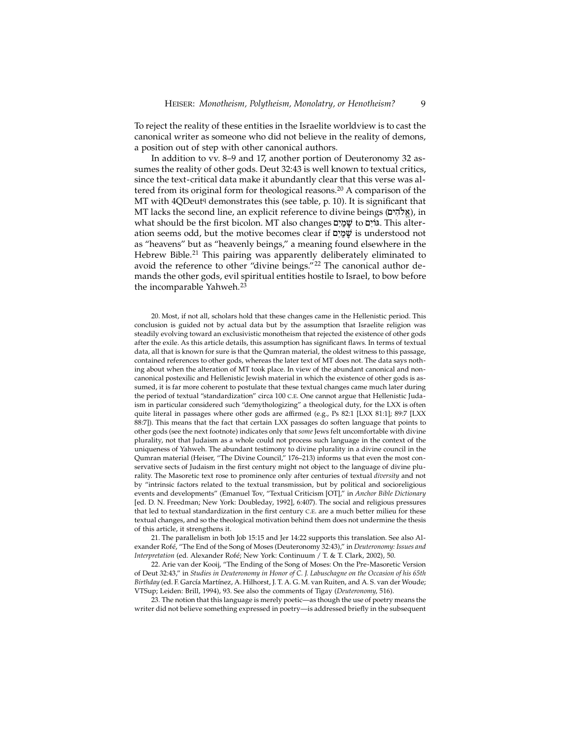To reject the reality of these entities in the Israelite worldview is to cast the canonical writer as someone who did not believe in the reality of demons, a position out of step with other canonical authors.

In addition to vv. 8–9 and 17, another portion of Deuteronomy 32 assumes the reality of other gods. Deut 32:43 is well known to textual critics, since the text-critical data make it abundantly clear that this verse was altered from its original form for theological reasons.<sup>20</sup> A comparison of the MT with  $4QDeutq$  demonstrates this (see table, p. 10). It is significant that MT lacks the second line, an explicit reference to divine beings (אֵלֹהִים), in what should be the first bicolon. MT also changes גּוֹיִם to אֲמַיָם. This alteration seems odd, but the motive becomes clear if  $w$ ימים is understood not as "heavens" but as "heavenly beings," a meaning found elsewhere in the Hebrew Bible.<sup>21</sup> This pairing was apparently deliberately eliminated to avoid the reference to other "divine beings."22 The canonical author demands the other gods, evil spiritual entities hostile to Israel, to bow before the incomparable Yahweh.<sup>23</sup>

20. Most, if not all, scholars hold that these changes came in the Hellenistic period. This conclusion is guided not by actual data but by the assumption that Israelite religion was steadily evolving toward an exclusivistic monotheism that rejected the existence of other gods after the exile. As this article details, this assumption has significant flaws. In terms of textual data, all that is known for sure is that the Qumran material, the oldest witness to this passage, contained references to other gods, whereas the later text of MT does not. The data says nothing about when the alteration of MT took place. In view of the abundant canonical and noncanonical postexilic and Hellenistic Jewish material in which the existence of other gods is assumed, it is far more coherent to postulate that these textual changes came much later during the period of textual "standardization" circa 100 C.E. One cannot argue that Hellenistic Judaism in particular considered such "demythologizing" a theological duty, for the LXX is often quite literal in passages where other gods are affirmed (e.g., Ps 82:1 [LXX 81:1]; 89:7 [LXX 88:7]). This means that the fact that certain LXX passages do soften language that points to other gods (see the next footnote) indicates only that *some* Jews felt uncomfortable with divine plurality, not that Judaism as a whole could not process such language in the context of the uniqueness of Yahweh. The abundant testimony to divine plurality in a divine council in the Qumran material (Heiser, "The Divine Council," 176–213) informs us that even the most conservative sects of Judaism in the first century might not object to the language of divine plurality. The Masoretic text rose to prominence only after centuries of textual *diversity* and not by "intrinsic factors related to the textual transmission, but by political and socioreligious events and developments" (Emanuel Tov, "Textual Criticism [OT]," in *Anchor Bible Dictionary* [ed. D. N. Freedman; New York: Doubleday, 1992], 6:407). The social and religious pressures that led to textual standardization in the first century C.E. are a much better milieu for these textual changes, and so the theological motivation behind them does not undermine the thesis of this article, it strengthens it.

21. The parallelism in both Job 15:15 and Jer 14:22 supports this translation. See also Alexander Rofé, "The End of the Song of Moses (Deuteronomy 32:43)," in *Deuteronomy: Issues and Interpretation* (ed. Alexander Rofé; New York: Continuum / T. & T. Clark, 2002), 50.

22. Arie van der Kooij, "The Ending of the Song of Moses: On the Pre-Masoretic Version of Deut 32:43," in *Studies in Deuteronomy in Honor of C. J. Labuschagne on the Occasion of his 65th Birthday* (ed. F. García Martínez, A. Hilhorst, J. T. A. G. M. van Ruiten, and A. S. van der Woude; VTSup; Leiden: Brill, 1994), 93. See also the comments of Tigay (*Deuteronomy*, 516).

23. The notion that this language is merely poetic—as though the use of poetry means the writer did not believe something expressed in poetry—is addressed briefly in the subsequent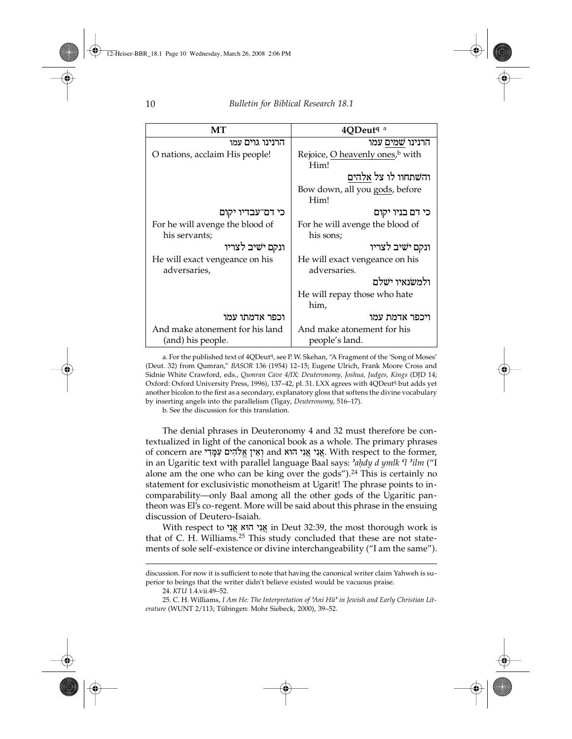| MT                              | 4ODeut <sup>q a</sup>                       |
|---------------------------------|---------------------------------------------|
| הרנינו גוים עמו                 | הרנינו שמים עמו                             |
| O nations, acclaim His people!  | Rejoice, O heavenly ones, <sup>b</sup> with |
|                                 | Him!                                        |
|                                 | והשתחוו לו צל אלהים                         |
|                                 | Bow down, all you gods, before              |
|                                 | Him!                                        |
| כי דם־עבדיו יקום                | כי דם בניו יקום                             |
| For he will avenge the blood of | For he will avenge the blood of             |
| his servants;                   | his sons;                                   |
| ונקם ישיב לצריו                 | ונקם ישיב לצריו                             |
| He will exact vengeance on his  | He will exact vengeance on his              |
| adversaries,                    | adversaries.                                |
|                                 | ולמשנאיו ישלם                               |
|                                 | He will repay those who hate                |
|                                 | him,                                        |
| וכפר אדמתו עמו                  | ויכפר אדמת עמו                              |
| And make atonement for his land | And make atonement for his                  |
| (and) his people.               | people's land.                              |

a. For the published text of 4QDeut<sup>q</sup>, see P. W. Skehan, "A Fragment of the 'Song of Moses' (Deut. 32) from Qumran," *BASOR* 136 (1954) 12–15; Eugene Ulrich, Frank Moore Cross and Sidnie White Crawford, eds., *Qumran Cave 4/IX: Deuteronomy, Joshua, Judges, Kings* (DJD 14; Oxford: Oxford University Press, 1996), 137-42, pl. 31. LXX agrees with 4QDeut<sup>q</sup> but adds yet another bicolon to the first as a secondary, explanatory gloss that softens the divine vocabulary by inserting angels into the parallelism (Tigay, *Deuteronomy*, 516–17).

b. See the discussion for this translation.

The denial phrases in Deuteronomy 4 and 32 must therefore be contextualized in light of the canonical book as a whole. The primary phrases of concern are אֲנִי אֲנִי הוּא and וְאֵין אֲנֹהִים עִמַּדִי. With respect to the former, in an Ugaritic text with parallel language Baal says: *ªa˙dy d ymlk ºl ªilm* ("I alone am the one who can be king over the gods").<sup>24</sup> This is certainly no statement for exclusivistic monotheism at Ugarit! The phrase points to incomparability—only Baal among all the other gods of the Ugaritic pantheon was El's co-regent. More will be said about this phrase in the ensuing discussion of Deutero-Isaiah.

With respect to אֲנִי הוֹא אֲנִי in Deut 32:39, the most thorough work is that of C. H. Williams.<sup>25</sup> This study concluded that these are not statements of sole self-existence or divine interchangeability ("I am the same").

discussion. For now it is sufficient to note that having the canonical writer claim Yahweh is superior to beings that the writer didn't believe existed would be vacuous praise.

<sup>24.</sup> *KTU* 1.4.vii.49–52.

<sup>25.</sup> C. H. Williams, *I Am He: The Interpretation of ªAni Huª in Jewish and Early Christian Literature* (WUNT 2/113; Tübingen: Mohr Siebeck, 2000), 39–52.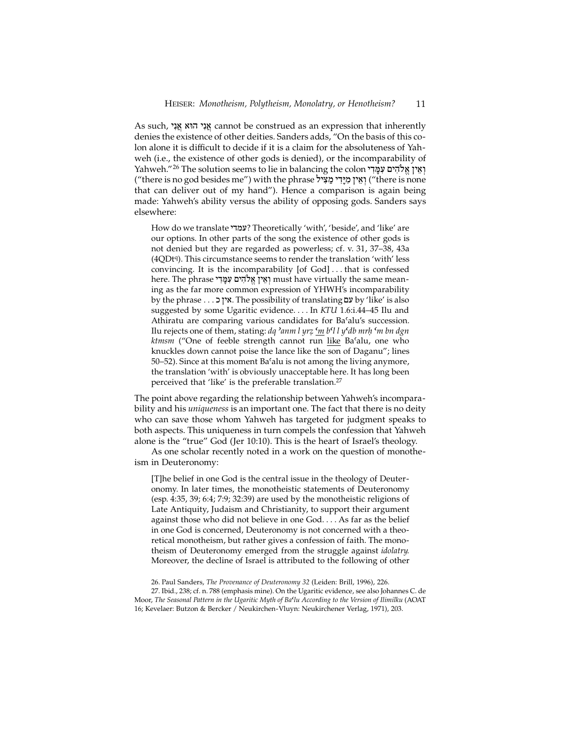As such, אֵנִי הוּא אֵנִי cannot be construed as an expression that inherently denies the existence of other deities. Sanders adds, "On the basis of this colon alone it is difficult to decide if it is a claim for the absoluteness of Yahweh (i.e., the existence of other gods is denied), or the incomparability of Yahweh."<sup>26</sup> The solution seems to lie in balancing the colon וְאֵין אֱלֹהִים עִמֲּדִי ("there is no god besides me") with the phrase וְאֵין מְיַדִּי מֲצִיּל ("there is none that can deliver out of my hand"). Hence a comparison is again being made: Yahweh's ability versus the ability of opposing gods. Sanders says elsewhere:

How do we translate "עמדי? Theoretically 'with', 'beside', and 'like' are our options. In other parts of the song the existence of other gods is not denied but they are regarded as powerless; cf. v. 31, 37–38, 43a (4QDtq). This circumstance seems to render the translation 'with' less convincing. It is the incomparability [of God] . . . that is confessed here. The phrase יְאֵין אֱלֹהִים עְמֵּדִי must have virtually the same meaning as the far more common expression of YHWH's incomparability by the phrase . . . אין כ $\cdot$ . The possibility of translating אין 'like' is also suggested by some Ugaritic evidence. . . . In *KTU* 1.6:i.44–45 Ilu and Athiratu are comparing various candidates for Ba'alu's succession. Ilu rejects one of them, stating: *dq ªanm l yr˛ ºm bºl l yºdb mr˙ ºm bn dgn* ktmsm ("One of feeble strength cannot run like Ba'alu, one who knuckles down cannot poise the lance like the son of Daganu"; lines 50–52). Since at this moment Baºalu is not among the living anymore, the translation 'with' is obviously unacceptable here. It has long been perceived that 'like' is the preferable translation.<sup>27</sup>

The point above regarding the relationship between Yahweh's incomparability and his *uniqueness* is an important one. The fact that there is no deity who can save those whom Yahweh has targeted for judgment speaks to both aspects. This uniqueness in turn compels the confession that Yahweh alone is the "true" God (Jer 10:10). This is the heart of Israel's theology.

As one scholar recently noted in a work on the question of monotheism in Deuteronomy:

[T]he belief in one God is the central issue in the theology of Deuteronomy. In later times, the monotheistic statements of Deuteronomy (esp. 4:35, 39; 6:4; 7:9; 32:39) are used by the monotheistic religions of Late Antiquity, Judaism and Christianity, to support their argument against those who did not believe in one God. . . . As far as the belief in one God is concerned, Deuteronomy is not concerned with a theoretical monotheism, but rather gives a confession of faith. The monotheism of Deuteronomy emerged from the struggle against *idolatry*. Moreover, the decline of Israel is attributed to the following of other

27. Ibid., 238; cf. n. 788 (emphasis mine). On the Ugaritic evidence, see also Johannes C. de Moor, *The Seasonal Pattern in the Ugaritic Myth of Baºlu According to the Version of Ilimilku* (AOAT 16; Kevelaer: Butzon & Bercker / Neukirchen-Vluyn: Neukirchener Verlag, 1971), 203.

<sup>26.</sup> Paul Sanders, *The Provenance of Deuteronomy 32* (Leiden: Brill, 1996), 226.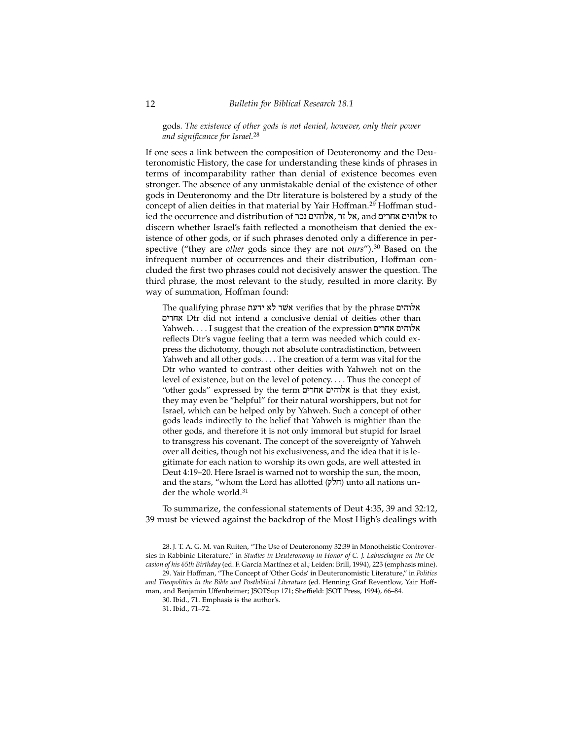gods. *The existence of other gods is not denied, however, only their power and significance for Israel*. 28

If one sees a link between the composition of Deuteronomy and the Deuteronomistic History, the case for understanding these kinds of phrases in terms of incomparability rather than denial of existence becomes even stronger. The absence of any unmistakable denial of the existence of other gods in Deuteronomy and the Dtr literature is bolstered by a study of the concept of alien deities in that material by Yair Hoffman.<sup>29</sup> Hoffman studied the occurrence and distribution of אלוהים אחרים, and גאלוהים אחרים, and discern whether Israel's faith reflected a monotheism that denied the existence of other gods, or if such phrases denoted only a difference in perspective ("they are *other* gods since they are not *ours*").30 Based on the infrequent number of occurrences and their distribution, Hoffman concluded the first two phrases could not decisively answer the question. The third phrase, the most relevant to the study, resulted in more clarity. By way of summation, Hoffman found:

The qualifying phrase אלוהים verifies that by the phrase אלוהים µyrja Dtr did not intend a conclusive denial of deities other than Yahweh. . . . I suggest that the creation of the expression אלוהים אחרים reflects Dtr's vague feeling that a term was needed which could express the dichotomy, though not absolute contradistinction, between Yahweh and all other gods. . . . The creation of a term was vital for the Dtr who wanted to contrast other deities with Yahweh not on the level of existence, but on the level of potency. . . . Thus the concept of "other gods" expressed by the term אלוהים אחרים is that they exist, they may even be "helpful" for their natural worshippers, but not for Israel, which can be helped only by Yahweh. Such a concept of other gods leads indirectly to the belief that Yahweh is mightier than the other gods, and therefore it is not only immoral but stupid for Israel to transgress his covenant. The concept of the sovereignty of Yahweh over all deities, though not his exclusiveness, and the idea that it is legitimate for each nation to worship its own gods, are well attested in Deut 4:19–20. Here Israel is warned not to worship the sun, the moon, and the stars, "whom the Lord has allotted (חלק) unto all nations under the whole world.<sup>31</sup>

To summarize, the confessional statements of Deut 4:35, 39 and 32:12, 39 must be viewed against the backdrop of the Most High's dealings with

28. J. T. A. G. M. van Ruiten, "The Use of Deuteronomy 32:39 in Monotheistic Controversies in Rabbinic Literature," in *Studies in Deuteronomy in Honor of C. J. Labuschagne on the Occasion of his 65th Birthday* (ed. F. García Martínez et al.; Leiden: Brill, 1994), 223 (emphasis mine).

29. Yair Hoffman, "The Concept of 'Other Gods' in Deuteronomistic Literature," in *Politics* and Theopolitics in the Bible and Postbiblical Literature (ed. Henning Graf Reventlow, Yair Hoffman, and Benjamin Uffenheimer; JSOTSup 171; Sheffield: JSOT Press, 1994), 66–84.

30. Ibid., 71. Emphasis is the author's.

31. Ibid., 71–72.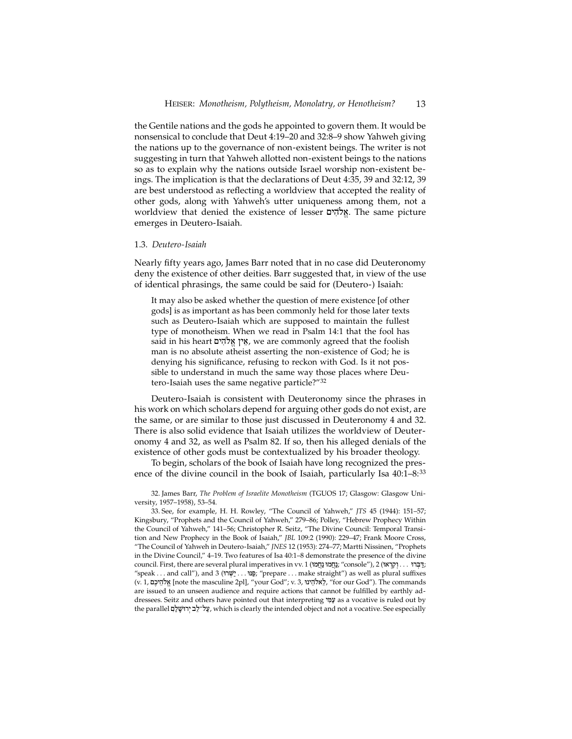the Gentile nations and the gods he appointed to govern them. It would be nonsensical to conclude that Deut 4:19–20 and 32:8–9 show Yahweh giving the nations up to the governance of non-existent beings. The writer is not suggesting in turn that Yahweh allotted non-existent beings to the nations so as to explain why the nations outside Israel worship non-existent beings. The implication is that the declarations of Deut 4:35, 39 and 32:12, 39 are best understood as reflecting a worldview that accepted the reality of other gods, along with Yahweh's utter uniqueness among them, not a worldview that denied the existence of lesser אֵלֹהִים. The same picture emerges in Deutero-Isaiah.

#### 1.3. *Deutero-Isaiah*

Nearly fifty years ago, James Barr noted that in no case did Deuteronomy deny the existence of other deities. Barr suggested that, in view of the use of identical phrasings, the same could be said for (Deutero-) Isaiah:

It may also be asked whether the question of mere existence [of other gods] is as important as has been commonly held for those later texts such as Deutero-Isaiah which are supposed to maintain the fullest type of monotheism. When we read in Psalm 14:1 that the fool has said in his heart אֵין אֱלֹהִים, we are commonly agreed that the foolish man is no absolute atheist asserting the non-existence of God; he is denying his significance, refusing to reckon with God. Is it not possible to understand in much the same way those places where Deutero-Isaiah uses the same negative particle?"32

Deutero-Isaiah is consistent with Deuteronomy since the phrases in his work on which scholars depend for arguing other gods do not exist, are the same, or are similar to those just discussed in Deuteronomy 4 and 32. There is also solid evidence that Isaiah utilizes the worldview of Deuteronomy 4 and 32, as well as Psalm 82. If so, then his alleged denials of the existence of other gods must be contextualized by his broader theology.

To begin, scholars of the book of Isaiah have long recognized the presence of the divine council in the book of Isaiah, particularly Isa 40:1–8:33

32. James Barr, *The Problem of Israelite Monotheism* (TGUOS 17; Glasgow: Glasgow University, 1957–1958), 53–54.

33. See, for example, H. H. Rowley, "The Council of Yahweh," *JTS* 45 (1944): 151–57; Kingsbury, "Prophets and the Council of Yahweh," 279–86; Polley, "Hebrew Prophecy Within the Council of Yahweh," 141–56; Christopher R. Seitz, "The Divine Council: Temporal Transition and New Prophecy in the Book of Isaiah," *JBL* 109:2 (1990): 229–47; Frank Moore Cross, "The Council of Yahweh in Deutero-Isaiah," *JNES* 12 (1953): 274–77; Martti Nissinen, "Prophets in the Divine Council," 4–19. Two features of Isa 40:1–8 demonstrate the presence of the divine council. First, there are several plural imperatives in vv. 1 (אֲתָּאוּ "console"), 2 ( 'קִבּוֹל ... וַקְרָאוּ "speak . . . and call"), and 3 (שְׁנוּ . . . "שָׁרוֹ; "prepare . . . make straight") as well as plural suffixes (v. 1, לֵאלֹהֵיכֵם [note the masculine 2pl], "your God"; v. 3, לֵאלֹהֵינוּ "for our God"). The commands are issued to an unseen audience and require actions that cannot be fulfilled by earthly addressees. Seitz and others have pointed out that interpreting  $\mathcal{W}$ as a vocative is ruled out by the parallel עֵל־לֵב יְרוּשָׁלַם, which is clearly the intended object and not a vocative. See especially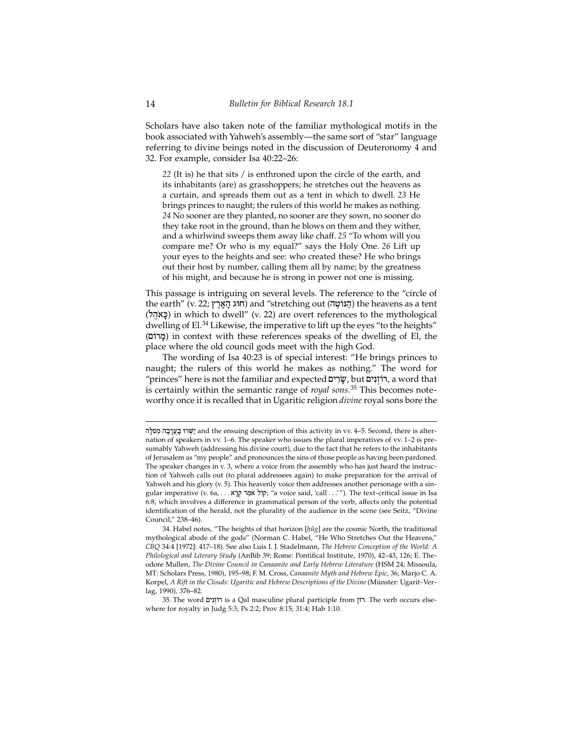Scholars have also taken note of the familiar mythological motifs in the book associated with Yahweh's assembly—the same sort of "star" language referring to divine beings noted in the discussion of Deuteronomy 4 and 32. For example, consider Isa 40:22–26:

*22* (It is) he that sits / is enthroned upon the circle of the earth, and its inhabitants (are) as grasshoppers; he stretches out the heavens as a curtain, and spreads them out as a tent in which to dwell. *23* He brings princes to naught; the rulers of this world he makes as nothing. *24* No sooner are they planted, no sooner are they sown, no sooner do they take root in the ground, than he blows on them and they wither, and a whirlwind sweeps them away like chaff. *25* "To whom will you compare me? Or who is my equal?" says the Holy One. *26* Lift up your eyes to the heights and see: who created these? He who brings out their host by number, calling them all by name; by the greatness of his might, and because he is strong in power not one is missing.

This passage is intriguing on several levels. The reference to the "circle of the earth" (v. 22; הוּג הַאֲרֶץ) and "stretching out (הַגּוֹטֶה) the heavens as a tent (פָאֹהֵל) in which to dwell" (v. 22) are overt references to the mythological dwelling of El.<sup>34</sup> Likewise, the imperative to lift up the eyes "to the heights" (µ/rm:) in context with these references speaks of the dwelling of El, the place where the old council gods meet with the high God.

The wording of Isa 40:23 is of special interest: "He brings princes to naught; the rulers of this world he makes as nothing." The word for "princes" here is not the familiar and expected  $\ddot{v}$ , but רוֹזנים, a word that is certainly within the semantic range of *royal sons*. <sup>35</sup> This becomes noteworthy once it is recalled that in Ugaritic religion *divine* royal sons bore the

יִשְׁרוּ בַּעֲרָבָה מִסְלֵּה the ensuing description of this activity in vv. 4–5. Second, there is alternation of speakers in vv. 1–6. The speaker who issues the plural imperatives of vv. 1–2 is presumably Yahweh (addressing his divine court), due to the fact that he refers to the inhabitants of Jerusalem as "my people" and pronounces the sins of those people as having been pardoned. The speaker changes in v. 3, where a voice from the assembly who has just heard the instruction of Yahweh calls out (to plural addressees again) to make preparation for the arrival of Yahweh and his glory (v. 5). This heavenly voice then addresses another personage with a singular imperative (v. 6a, . . . אָמֶר קְרָא אמָר קְרָא, "a voice said, 'call . . .'"). The text-critical issue in Isa 6:8, which involves a difference in grammatical person of the verb, affects only the potential identification of the herald, not the plurality of the audience in the scene (see Seitz, "Divine Council," 238–46).

<sup>34.</sup> Habel notes, "The heights of that horizon [*˙ûg*] are the cosmic North, the traditional mythological abode of the gods" (Norman C. Habel, "He Who Stretches Out the Heavens," *CBQ* 34:4 [1972]: 417–18). See also Luis I. J. Stadelmann, *The Hebrew Conception of the World: A Philological and Literary Study* (AnBib 39; Rome: Pontifical Institute, 1970), 42–43, 126; E. Theodore Mullen, *The Divine Council in Canaanite and Early Hebrew Literature* (HSM 24; Missoula, MT: Scholars Press, 1980), 195–98; F. M. Cross, *Canaanite Myth and Hebrew Epic*, 36; Marjo C. A. Korpel, *A Rift in the Clouds: Ugaritic and Hebrew Descriptions of the Divine* (Münster: Ugarit-Verlag, 1990)*,* 376–82.

<sup>35.</sup> The word רֹוֹזְנִים is a Qal masculine plural participle from רזן. The verb occurs elsewhere for royalty in Judg 5:3; Ps 2:2; Prov 8:15; 31:4; Hab 1:10.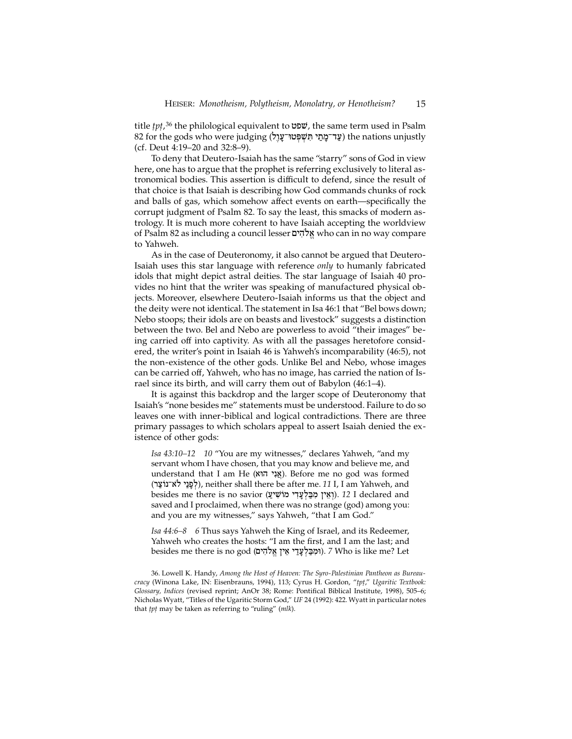title *tp†*,36 the philological equivalent to fpv, the same term used in Psalm 82 for the gods who were judging (עֲד־מַתַי תִּשְׁפָּטוּ־עֲוָל ) the nations unjustly (cf. Deut 4:19–20 and 32:8–9).

To deny that Deutero-Isaiah has the same "starry" sons of God in view here, one has to argue that the prophet is referring exclusively to literal astronomical bodies. This assertion is difficult to defend, since the result of that choice is that Isaiah is describing how God commands chunks of rock and balls of gas, which somehow affect events on earth—specifically the corrupt judgment of Psalm 82. To say the least, this smacks of modern astrology. It is much more coherent to have Isaiah accepting the worldview of Psalm 82 as including a council lesser אֱלֹהִים who can in no way compare to Yahweh.

As in the case of Deuteronomy, it also cannot be argued that Deutero-Isaiah uses this star language with reference *only* to humanly fabricated idols that might depict astral deities. The star language of Isaiah 40 provides no hint that the writer was speaking of manufactured physical objects. Moreover, elsewhere Deutero-Isaiah informs us that the object and the deity were not identical. The statement in Isa 46:1 that "Bel bows down; Nebo stoops; their idols are on beasts and livestock" suggests a distinction between the two. Bel and Nebo are powerless to avoid "their images" being carried off into captivity. As with all the passages heretofore considered, the writer's point in Isaiah 46 is Yahweh's incomparability (46:5), not the non-existence of the other gods. Unlike Bel and Nebo, whose images can be carried off, Yahweh, who has no image, has carried the nation of Israel since its birth, and will carry them out of Babylon (46:1–4).

It is against this backdrop and the larger scope of Deuteronomy that Isaiah's "none besides me" statements must be understood. Failure to do so leaves one with inner-biblical and logical contradictions. There are three primary passages to which scholars appeal to assert Isaiah denied the existence of other gods:

*Isa 43:10–12 10* "You are my witnesses," declares Yahweh, "and my servant whom I have chosen, that you may know and believe me, and understand that I am He (אֲגִי הוֹא). Before me no god was formed (לפני לא־נוֹצר), neither shall there be after me. 11 I, I am Yahweh, and besides me there is no savior (וַאִין מִבַּלְעָדִי מוֹשִׁיעַ). *12* I declared and saved and I proclaimed, when there was no strange (god) among you: and you are my witnesses," says Yahweh, "that I am God."

*Isa 44:6–8 6* Thus says Yahweh the King of Israel, and its Redeemer, Yahweh who creates the hosts: "I am the first, and I am the last; and besides me there is no god (וּמְבַּלְעָדֵי אֵין אֱלֹהִים). *7* Who is like me? Let

36. Lowell K. Handy, *Among the Host of Heaven: The Syro-Palestinian Pantheon as Bureaucracy* (Winona Lake, IN: Eisenbrauns, 1994), 113; Cyrus H. Gordon, "*tp†*," *Ugaritic Textbook: Glossary, Indices* (revised reprint; AnOr 38; Rome: Pontifical Biblical Institute, 1998), 505–6; Nicholas Wyatt, "Titles of the Ugaritic Storm God," *UF* 24 (1992): 422. Wyatt in particular notes that *tp†* may be taken as referring to "ruling" (*mlk*).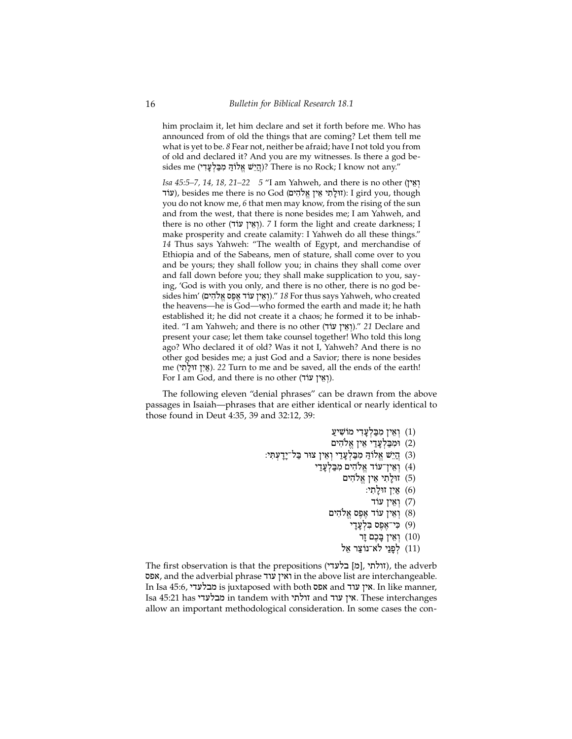him proclaim it, let him declare and set it forth before me. Who has announced from of old the things that are coming? Let them tell me what is yet to be. *8* Fear not, neither be afraid; have I not told you from of old and declared it? And you are my witnesses. Is there a god besides me (הֵיֵּשׁ אֵלוֹהַ מִבַּלְעָדִי)? There is no Rock; I know not any."

*Isa 45:5–7, 14, 18, 21–22* 5 "I am Yahweh, and there is no other (אֵין עוֹד), besides me there is no God (עוֹדְאֵין אֱלֹהִים): I gird you, though you do not know me, *6* that men may know, from the rising of the sun and from the west, that there is none besides me; I am Yahweh, and there is no other (וֹאֵין עוֹד). *7* I form the light and create darkness; I make prosperity and create calamity: I Yahweh do all these things." *14* Thus says Yahweh: "The wealth of Egypt, and merchandise of Ethiopia and of the Sabeans, men of stature, shall come over to you and be yours; they shall follow you; in chains they shall come over and fall down before you; they shall make supplication to you, saying, 'God is with you only, and there is no other, there is no god besides him' (µyhIløa"sp<a<d/[ ˆyaEw])." *18* For thus says Yahweh, who created the heavens—he is God—who formed the earth and made it; he hath established it; he did not create it a chaos; he formed it to be inhabited. "I am Yahweh; and there is no other (וְאֵין עוֹד)." 21 Declare and present your case; let them take counsel together! Who told this long ago? Who declared it of old? Was it not I, Yahweh? And there is no other god besides me; a just God and a Savior; there is none besides me (אֵין זוּלַתִּי). *22* Turn to me and be saved, all the ends of the earth! For I am God, and there is no other (וְאֵין עוֹד).

The following eleven "denial phrases" can be drawn from the above passages in Isaiah—phrases that are either identical or nearly identical to those found in Deut 4:35, 39 and 32:12, 39:

- וַאֵין מִבַּלְעַדִי מוֹשִׁיעַ
- ומבלעדי אין אלהים) (2)
- :פְּיָשׁ אֱלוֹהַ מִבְלְעֲדֵי וְאִין צוּר בַּל־יָדָעְתָּי
	- וּאִין־עוד אֱלֹהִים מִבַּלְעֲדַי
		- ווּלַתִי אֵין אֱלֹהִים (5)
			- $\mathbf{y}$ ין זולתי:  $(6)$ 
				- רְאֵין עוֹד (7)
		- וְאֵין עוֹד אֶפֶס אֱלֹהִים
			- רי־אֵפֵס בִּלְעֲדַי $(9)$ 
				- יִאֵין בָּכֶם זָר $(10)$
			- וואר ה' בילא־נוֹצַר אַל (11)<br>בְּנַיַּ לֹא־נוֹצַר אַל

The first observation is that the prepositions (זולתי, [מ] בלעדי), the adverb אפס, and the adverbial phrase ואין עוד, in the above list are interchangeable. In Isa 45:6, אין עוד is juxtaposed with both אפס and אין עוד. In like manner, Isa 45:21 has yd[lbm in tandem with ytlwz and dw[ ˆya. These interchanges allow an important methodological consideration. In some cases the con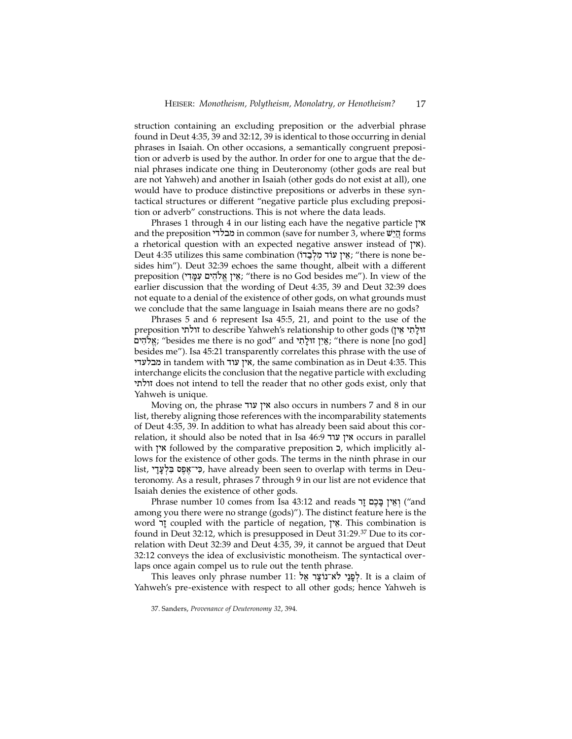struction containing an excluding preposition or the adverbial phrase found in Deut 4:35, 39 and 32:12, 39 is identical to those occurring in denial phrases in Isaiah. On other occasions, a semantically congruent preposition or adverb is used by the author. In order for one to argue that the denial phrases indicate one thing in Deuteronomy (other gods are real but are not Yahweh) and another in Isaiah (other gods do not exist at all), one would have to produce distinctive prepositions or adverbs in these syntactical structures or different "negative particle plus excluding preposition or adverb" constructions. This is not where the data leads.

Phrases 1 through 4 in our listing each have the negative particle  $\gamma$ and the preposition הַיֵּשׁ in common (save for number 3, where הַיֵּשׁ forms a rhetorical question with an expected negative answer instead of ˆya). Deut 4:35 utilizes this same combination (אֵין עוֹד מְלִבְדוֹ; "there is none besides him"). Deut 32:39 echoes the same thought, albeit with a different preposition (אֵין אֱלֹהִים עִמֲדִי; "there is no God besides me"). In view of the earlier discussion that the wording of Deut 4:35, 39 and Deut 32:39 does not equate to a denial of the existence of other gods, on what grounds must we conclude that the same language in Isaiah means there are no gods?

Phrases 5 and 6 represent Isa 45:5, 21, and point to the use of the preposition זולתי to describe Yahweh's relationship to other gods (זולתי µyhIløa"; "besides me there is no god" and ytIl:Wz ˆyia"; "there is none [no god] besides me"). Isa 45:21 transparently correlates this phrase with the use of מבלעדי in tandem with אין עוד, the same combination as in Deut 4:35. This interchange elicits the conclusion that the negative particle with excluding ytlwz does not intend to tell the reader that no other gods exist, only that Yahweh is unique.

Moving on, the phrase אין עוד also occurs in numbers 7 and 8 in our list, thereby aligning those references with the incomparability statements of Deut 4:35, 39. In addition to what has already been said about this correlation, it should also be noted that in Isa 46:9 אין עוד 26:9 w occurs in parallel with **x**<sup>r</sup> followed by the comparative preposition **כ**, which implicitly allows for the existence of other gods. The terms in the ninth phrase in our list, כִּי־אֵפָּס בִּלְעֲדֵי, have already been seen to overlap with terms in Deuteronomy. As a result, phrases 7 through 9 in our list are not evidence that Isaiah denies the existence of other gods.

Phrase number 10 comes from Isa 43:12 and reads יְאֵין בַּכֶם וַר among you there were no strange (gods)"). The distinct feature here is the word **I** coupled with the particle of negation, אֵין. This combination is found in Deut 32:12, which is presupposed in Deut 31:29.37 Due to its correlation with Deut 32:39 and Deut 4:35, 39, it cannot be argued that Deut 32:12 conveys the idea of exclusivistic monotheism. The syntactical overlaps once again compel us to rule out the tenth phrase.

This leaves only phrase number 11: לְפֵנֵי לֹא־נוֹצֵר אֵל. It is a claim of Yahweh's pre-existence with respect to all other gods; hence Yahweh is

<sup>37.</sup> Sanders, *Provenance of Deuteronomy 32*, 394.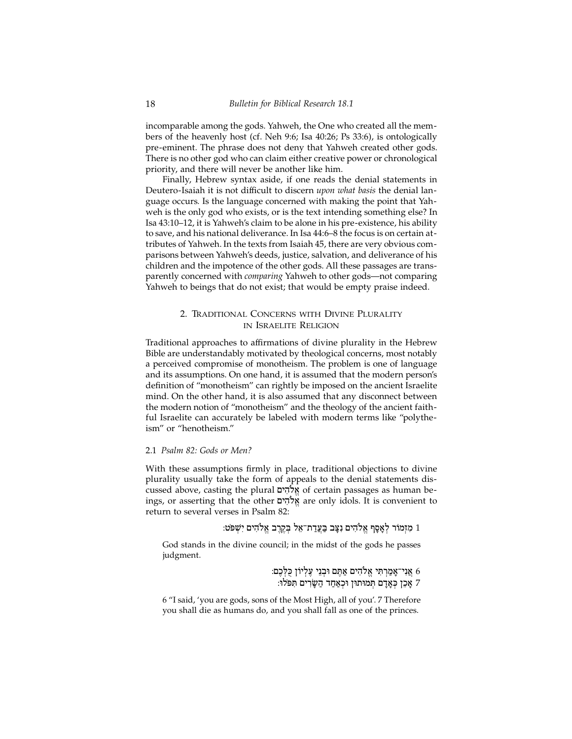incomparable among the gods. Yahweh, the One who created all the members of the heavenly host (cf. Neh 9:6; Isa 40:26; Ps 33:6), is ontologically pre-eminent. The phrase does not deny that Yahweh created other gods. There is no other god who can claim either creative power or chronological priority, and there will never be another like him.

Finally, Hebrew syntax aside, if one reads the denial statements in Deutero-Isaiah it is not difficult to discern *upon what basis* the denial language occurs*.* Is the language concerned with making the point that Yahweh is the only god who exists, or is the text intending something else? In Isa 43:10–12, it is Yahweh's claim to be alone in his pre-existence, his ability to save, and his national deliverance. In Isa 44:6–8 the focus is on certain attributes of Yahweh. In the texts from Isaiah 45, there are very obvious comparisons between Yahweh's deeds, justice, salvation, and deliverance of his children and the impotence of the other gods. All these passages are transparently concerned with *comparing* Yahweh to other gods—not comparing Yahweh to beings that do not exist; that would be empty praise indeed.

## 2. Traditional Concerns with Divine Plurality in Israelite Religion

Traditional approaches to affirmations of divine plurality in the Hebrew Bible are understandably motivated by theological concerns, most notably a perceived compromise of monotheism. The problem is one of language and its assumptions. On one hand, it is assumed that the modern person's definition of "monotheism" can rightly be imposed on the ancient Israelite mind. On the other hand, it is also assumed that any disconnect between the modern notion of "monotheism" and the theology of the ancient faithful Israelite can accurately be labeled with modern terms like "polytheism" or "henotheism."

### 2.1 *Psalm 82: Gods or Men?*

With these assumptions firmly in place, traditional objections to divine plurality usually take the form of appeals to the denial statements discussed above, casting the plural אֱלֹהִים of certain passages as human beings, or asserting that the other µyhIløa"are only idols. It is convenient to return to several verses in Psalm 82:

:מַזְמוֹר לְאֲסֵף אֱלֹהִים נְצֵב בַּעֲדַת־אֶל בְּקֵרֶב אֱלֹהִים יִשְׁפֹּט

God stands in the divine council; in the midst of the gods he passes judgment.

> אַגִי־אַמַרְתִּי אֱלֹהִים אַתֵּם וּבְנֵי עֵלְיוֹן כַּלְּבֵם: 6 י אַכֵן כְּאַדַם תְּמוּתוּן וּכְאַחַד הַשַׂרִים תְּפֹּלוּ:

6 "I said, 'you are gods, sons of the Most High, all of you'. 7 Therefore you shall die as humans do, and you shall fall as one of the princes.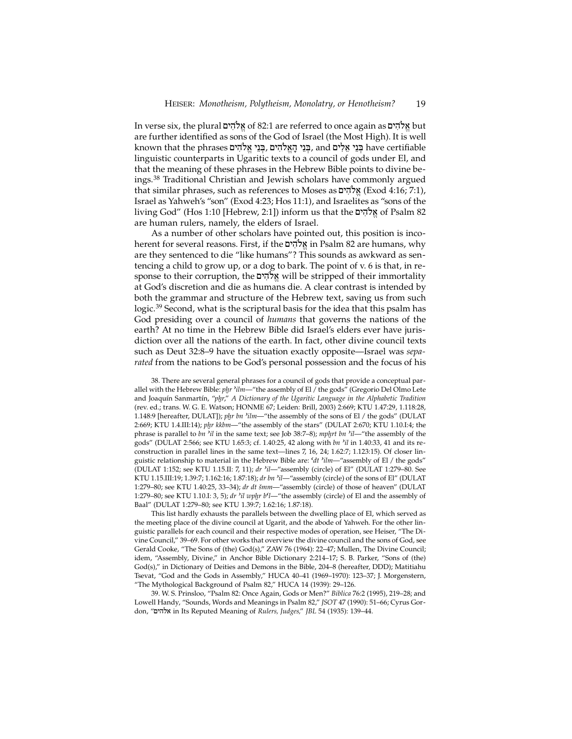In verse six, the plural אֱלֹהִים of 82:1 are referred to once again as אֱלֹהִים but are further identified as sons of the God of Israel (the Most High). It is well known that the phrases בְּנֵי אֱלֹהִים ,and בְּנֵי אֱלֹהִים have certifiable linguistic counterparts in Ugaritic texts to a council of gods under El, and that the meaning of these phrases in the Hebrew Bible points to divine beings.38 Traditional Christian and Jewish scholars have commonly argued that similar phrases, such as references to Moses as אֱלֹהִים (Exod 4:16; 7:1), Israel as Yahweh's "son" (Exod 4:23; Hos 11:1), and Israelites as "sons of the living God" (Hos 1:10 [Hebrew, 2:1]) inform us that the אֱלֹהִים of Psalm 82 are human rulers, namely, the elders of Israel.

As a number of other scholars have pointed out, this position is incoherent for several reasons. First, if the אֱלֹהָים in Psalm 82 are humans, why are they sentenced to die "like humans"? This sounds as awkward as sentencing a child to grow up, or a dog to bark. The point of v. 6 is that, in response to their corruption, the µyhIløa"will be stripped of their immortality at God's discretion and die as humans die. A clear contrast is intended by both the grammar and structure of the Hebrew text, saving us from such logic.39 Second, what is the scriptural basis for the idea that this psalm has God presiding over a council of *humans* that governs the nations of the earth? At no time in the Hebrew Bible did Israel's elders ever have jurisdiction over all the nations of the earth. In fact, other divine council texts such as Deut 32:8–9 have the situation exactly opposite—Israel was *separated* from the nations to be God's personal possession and the focus of his

38. There are several general phrases for a council of gods that provide a conceptual parallel with the Hebrew Bible: *phr ªilm*—"the assembly of El / the gods" (Gregorio Del Olmo Lete and Joaquín Sanmartín, "*phr*," *A Dictionary of the Ugaritic Language in the Alphabetic Tradition* (rev. ed.; trans. W. G. E. Watson; HONME 67; Leiden: Brill, 2003) 2:669; KTU 1.47:29, 1.118:28, 1.148:9 [hereafter, DULAT]); *phr bn ªilm*—"the assembly of the sons of El / the gods" (DULAT 2:669; KTU 1.4.III:14); *phr kkbm*—"the assembly of the stars" (DULAT 2:670; KTU 1.10.I:4; the phrase is parallel to *bn ªil* in the same text; see Job 38:7–8); *mphrt bn ªil*—"the assembly of the gods" (DULAT 2:566; see KTU 1.65:3; cf. 1.40:25, 42 along with *bn ªil* in 1.40:33, 41 and its reconstruction in parallel lines in the same text—lines 7, 16, 24; 1.62:7; 1.123:15). Of closer linguistic relationship to material in the Hebrew Bible are: *ºdt ªilm*—"assembly of El / the gods" (DULAT 1:152; see KTU 1.15.II: 7, 11); *dr ªil*—"assembly (circle) of El" (DULAT 1:279–80. See KTU 1.15.III:19; 1.39:7; 1.162:16; 1.87:18); *dr bn ªil*—"assembly (circle) of the sons of El" (DULAT 1:279–80; see KTU 1.40:25, 33–34); *dr dt smm*—"assembly (circle) of those of heaven" (DULAT 1:279–80; see KTU 1.10.I: 3, 5); *dr ªil wphr bºl*—"the assembly (circle) of El and the assembly of Baal" (DULAT 1:279–80; see KTU 1.39:7; 1.62:16; 1.87:18).

This list hardly exhausts the parallels between the dwelling place of El, which served as the meeting place of the divine council at Ugarit, and the abode of Yahweh. For the other linguistic parallels for each council and their respective modes of operation, see Heiser, "The Divine Council," 39–69. For other works that overview the divine council and the sons of God, see Gerald Cooke, "The Sons of (the) God(s)," ZAW 76 (1964): 22–47; Mullen, The Divine Council; idem, "Assembly, Divine," in Anchor Bible Dictionary 2:214-17; S. B. Parker, "Sons of (the) God(s)," in Dictionary of Deities and Demons in the Bible, 204–8 (hereafter, DDD); Matitiahu Tsevat, "God and the Gods in Assembly," HUCA 40–41 (1969–1970): 123–37; J. Morgenstern, "The Mythological Background of Psalm 82," HUCA 14 (1939): 29–126.

39. W. S. Prinsloo, "Psalm 82: Once Again, Gods or Men?" *Biblica* 76:2 (1995), 219–28; and Lowell Handy, "Sounds, Words and Meanings in Psalm 82," *JSOT* 47 (1990): 51–66; Cyrus Gordon, "µyhla in Its Reputed Meaning of *Rulers, Judges,*" *JBL* 54 (1935): 139–44.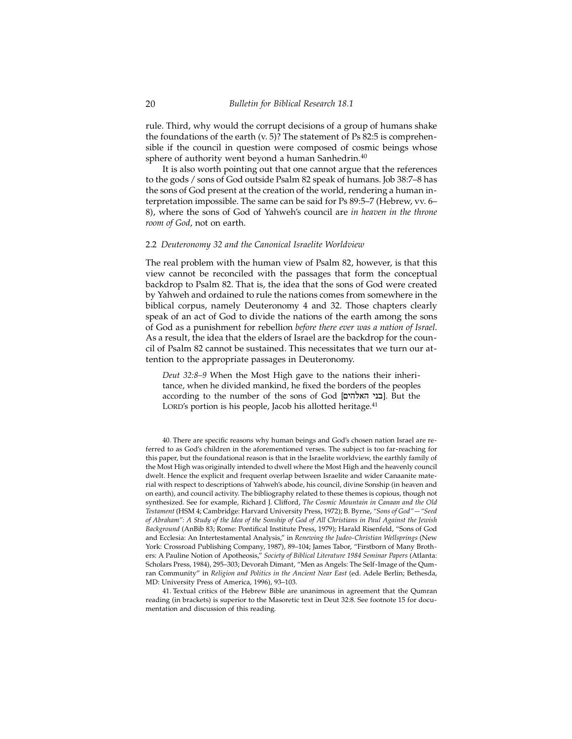rule. Third, why would the corrupt decisions of a group of humans shake the foundations of the earth (v. 5)? The statement of Ps 82:5 is comprehensible if the council in question were composed of cosmic beings whose sphere of authority went beyond a human Sanhedrin.<sup>40</sup>

It is also worth pointing out that one cannot argue that the references to the gods / sons of God outside Psalm 82 speak of humans. Job 38:7–8 has the sons of God present at the creation of the world, rendering a human interpretation impossible. The same can be said for Ps 89:5–7 (Hebrew, vv. 6– 8), where the sons of God of Yahweh's council are *in heaven in the throne room of God*, not on earth.

#### 2.2 *Deuteronomy 32 and the Canonical Israelite Worldview*

The real problem with the human view of Psalm 82, however, is that this view cannot be reconciled with the passages that form the conceptual backdrop to Psalm 82. That is, the idea that the sons of God were created by Yahweh and ordained to rule the nations comes from somewhere in the biblical corpus, namely Deuteronomy 4 and 32. Those chapters clearly speak of an act of God to divide the nations of the earth among the sons of God as a punishment for rebellion *before there ever was a nation of Israel*. As a result, the idea that the elders of Israel are the backdrop for the council of Psalm 82 cannot be sustained. This necessitates that we turn our attention to the appropriate passages in Deuteronomy.

*Deut 32:8–9* When the Most High gave to the nations their inheritance, when he divided mankind, he fixed the borders of the peoples according to the number of the sons of God [**בני האלהים]**. But the LORD's portion is his people, Jacob his allotted heritage.<sup>41</sup>

40. There are specific reasons why human beings and God's chosen nation Israel are referred to as God's children in the aforementioned verses. The subject is too far-reaching for this paper, but the foundational reason is that in the Israelite worldview, the earthly family of the Most High was originally intended to dwell where the Most High and the heavenly council dwelt. Hence the explicit and frequent overlap between Israelite and wider Canaanite material with respect to descriptions of Yahweh's abode, his council, divine Sonship (in heaven and on earth), and council activity. The bibliography related to these themes is copious, though not synthesized. See for example, Richard J. Clifford, *The Cosmic Mountain in Canaan and the Old Testament* (HSM 4; Cambridge: Harvard University Press, 1972); B. Byrne, *"Sons of God"—"Seed of Abraham": A Study of the Idea of the Sonship of God of All Christians in Paul Against the Jewish Background* (AnBib 83; Rome: Pontifical Institute Press, 1979); Harald Risenfeld, "Sons of God and Ecclesia: An Intertestamental Analysis," in *Renewing the Judeo-Christian Wellsprings* (New York: Crossroad Publishing Company, 1987), 89–104; James Tabor, "Firstborn of Many Brothers: A Pauline Notion of Apotheosis," *Society of Biblical Literature 1984 Seminar Papers* (Atlanta: Scholars Press, 1984), 295–303; Devorah Dimant, "Men as Angels: The Self-Image of the Qumran Community" in *Religion and Politics in the Ancient Near East* (ed. Adele Berlin; Bethesda, MD: University Press of America, 1996), 93–103.

41. Textual critics of the Hebrew Bible are unanimous in agreement that the Qumran reading (in brackets) is superior to the Masoretic text in Deut 32:8. See footnote 15 for documentation and discussion of this reading.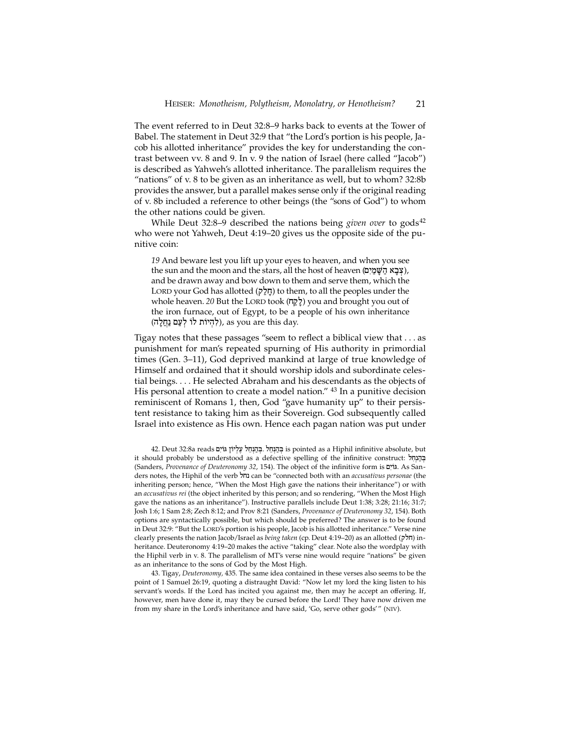The event referred to in Deut 32:8–9 harks back to events at the Tower of Babel. The statement in Deut 32:9 that "the Lord's portion is his people, Jacob his allotted inheritance" provides the key for understanding the contrast between vv. 8 and 9. In v. 9 the nation of Israel (here called "Jacob") is described as Yahweh's allotted inheritance. The parallelism requires the "nations" of v. 8 to be given as an inheritance as well, but to whom? 32:8b provides the answer, but a parallel makes sense only if the original reading of v. 8b included a reference to other beings (the "sons of God") to whom the other nations could be given.

While Deut 32:8–9 described the nations being *given over* to gods<sup>42</sup> who were not Yahweh, Deut 4:19–20 gives us the opposite side of the punitive coin:

*19* And beware lest you lift up your eyes to heaven, and when you see the sun and the moon and the stars, all the host of heaven (צְבַא הַשַּׁמַיִם), and be drawn away and bow down to them and serve them, which the Lord your God has allotted (ql"j:) to them, to all the peoples under the whole heaven. *20* But the LORD took (לַאֲה) you and brought you out of the iron furnace, out of Egypt, to be a people of his own inheritance (לְהְיוֹת לוֹ לְעֲם נַחֲלֵה), as you are this day.

Tigay notes that these passages "seem to reflect a biblical view that . . . as punishment for man's repeated spurning of His authority in primordial times (Gen. 3–11), God deprived mankind at large of true knowledge of Himself and ordained that it should worship idols and subordinate celestial beings. . . . He selected Abraham and his descendants as the objects of His personal attention to create a model nation." <sup>43</sup> In a punitive decision reminiscent of Romans 1, then, God "gave humanity up" to their persistent resistance to taking him as their Sovereign. God subsequently called Israel into existence as His own. Hence each pagan nation was put under

42. Deut 32:8a reads µyi/G ˆ/yl}[<ljEn]h"B}. ljEn]h"B} is pointed as a Hiphil infinitive absolute, but it should probably be understood as a defective spelling of the infinitive construct:  $\overline{h}$ (Sanders, *Provenance of Deuteronomy 32, 154*). The object of the infinitive form is  $s$ גוֹים. As Sanders notes, the Hiphil of the verb ljn can be "connected both with an *accusativus personae* (the inheriting person; hence, "When the Most High gave the nations their inheritance") or with an *accusativus rei* (the object inherited by this person; and so rendering, "When the Most High gave the nations as an inheritance"). Instructive parallels include Deut 1:38; 3:28; 21:16; 31:7; Josh 1:6; 1 Sam 2:8; Zech 8:12; and Prov 8:21 (Sanders, *Provenance of Deuteronomy 32*, 154). Both options are syntactically possible, but which should be preferred? The answer is to be found in Deut 32:9: "But the LORD's portion is his people, Jacob is his allotted inheritance." Verse nine clearly presents the nation Jacob/Israel as *being taken* (cp. Deut 4:19–20) as an allotted ( $\eta$ תלק) inheritance. Deuteronomy 4:19–20 makes the active "taking" clear. Note also the wordplay with the Hiphil verb in v. 8. The parallelism of MT's verse nine would require "nations" be given as an inheritance to the sons of God by the Most High.

43. Tigay, *Deuteronomy,* 435. The same idea contained in these verses also seems to be the point of 1 Samuel 26:19, quoting a distraught David: "Now let my lord the king listen to his servant's words. If the Lord has incited you against me, then may he accept an offering. If, however, men have done it, may they be cursed before the Lord! They have now driven me from my share in the Lord's inheritance and have said, 'Go, serve other gods'" (niv).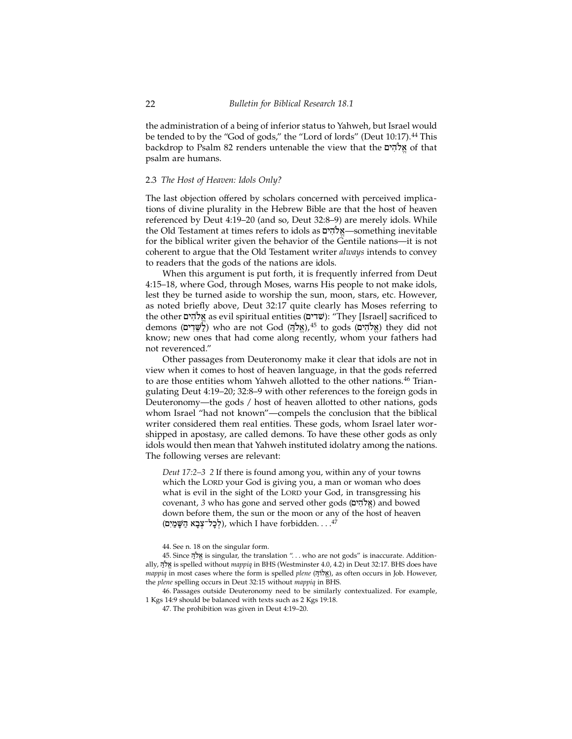the administration of a being of inferior status to Yahweh, but Israel would be tended to by the "God of gods," the "Lord of lords" (Deut 10:17).<sup>44</sup> This backdrop to Psalm 82 renders untenable the view that the אלהים psalm are humans.

#### 2.3 *The Host of Heaven: Idols Only?*

The last objection offered by scholars concerned with perceived implications of divine plurality in the Hebrew Bible are that the host of heaven referenced by Deut 4:19–20 (and so, Deut 32:8–9) are merely idols. While the Old Testament at times refers to idols as **ולהים** something inevitable for the biblical writer given the behavior of the Gentile nations—it is not coherent to argue that the Old Testament writer *always* intends to convey to readers that the gods of the nations are idols.

When this argument is put forth, it is frequently inferred from Deut 4:15–18, where God, through Moses, warns His people to not make idols, lest they be turned aside to worship the sun, moon, stars, etc. However, as noted briefly above, Deut 32:17 quite clearly has Moses referring to the other אֵלהִים as evil spiritual entities (שׁדים): "They [Israel] sacrificed to demons (אֵלֹהֵים) who are not God (אֱלֹהֵים,45 to gods (אֱלֹהִים) they did not know; new ones that had come along recently, whom your fathers had not reverenced."

Other passages from Deuteronomy make it clear that idols are not in view when it comes to host of heaven language, in that the gods referred to are those entities whom Yahweh allotted to the other nations.<sup>46</sup> Triangulating Deut 4:19–20; 32:8–9 with other references to the foreign gods in Deuteronomy—the gods / host of heaven allotted to other nations, gods whom Israel "had not known"—compels the conclusion that the biblical writer considered them real entities. These gods, whom Israel later worshipped in apostasy, are called demons. To have these other gods as only idols would then mean that Yahweh instituted idolatry among the nations. The following verses are relevant:

*Deut 17:2–3 2* If there is found among you, within any of your towns which the LORD your God is giving you, a man or woman who does what is evil in the sight of the LORD your God, in transgressing his covenant, 3 who has gone and served other gods (אֵלֹהִים) and bowed down before them, the sun or the moon or any of the host of heaven (לְכַל־צְבָא הַשַּׁמַיִם), which I have forbidden. . . .<sup>47</sup>

44. See n. 18 on the singular form.

45. Since H'løa"is singular, the translation ". . . who are not gods" is inaccurate. Additionally, H'løa" is spelled without *mappiq* in BHS (Westminster 4.0, 4.2) in Deut 32:17. BHS does have *mappiq* in most cases where the form is spelled *plene* (אֵלוֹדָּ, as often occurs in Job. However, the *plene* spelling occurs in Deut 32:15 without *mappiq* in BHS.

46. Passages outside Deuteronomy need to be similarly contextualized. For example, 1 Kgs 14:9 should be balanced with texts such as 2 Kgs 19:18.

47. The prohibition was given in Deut 4:19–20.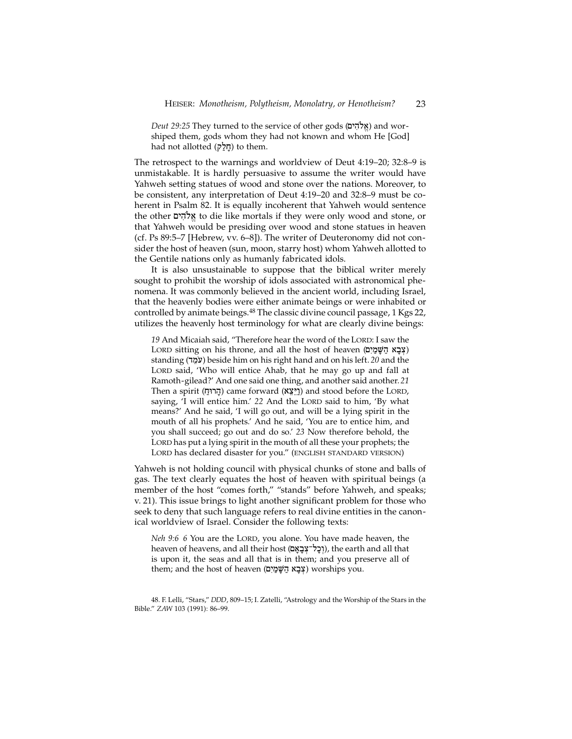*Deut 29:25* They turned to the service of other gods (אֵלֹהִים) and worshiped them, gods whom they had not known and whom He [God] had not allotted (חַלֵּק) to them.

The retrospect to the warnings and worldview of Deut 4:19–20; 32:8–9 is unmistakable. It is hardly persuasive to assume the writer would have Yahweh setting statues of wood and stone over the nations. Moreover, to be consistent, any interpretation of Deut 4:19–20 and 32:8–9 must be coherent in Psalm 82. It is equally incoherent that Yahweh would sentence the other אֵלהִים to die like mortals if they were only wood and stone, or that Yahweh would be presiding over wood and stone statues in heaven (cf. Ps 89:5–7 [Hebrew, vv. 6–8]). The writer of Deuteronomy did not consider the host of heaven (sun, moon, starry host) whom Yahweh allotted to the Gentile nations only as humanly fabricated idols.

It is also unsustainable to suppose that the biblical writer merely sought to prohibit the worship of idols associated with astronomical phenomena. It was commonly believed in the ancient world, including Israel, that the heavenly bodies were either animate beings or were inhabited or controlled by animate beings.<sup>48</sup> The classic divine council passage, 1 Kgs 22, utilizes the heavenly host terminology for what are clearly divine beings:

19 And Micaiah said, "Therefore hear the word of the LORD: I saw the LORD sitting on his throne, and all the host of heaven (צְבָא הַשֵּׁמַיִם) standing (dmE[ø) beside him on his right hand and on his left. *20* and the LORD said, 'Who will entice Ahab, that he may go up and fall at Ramoth-gilead?' And one said one thing, and another said another. *21* Then a spirit (הֲרוּחַ) came forward (וַיֵּצֵא) and stood before the LORD, saying, 'I will entice him.' 22 And the LORD said to him, 'By what means?' And he said, 'I will go out, and will be a lying spirit in the mouth of all his prophets.' And he said, 'You are to entice him, and you shall succeed; go out and do so.' *23* Now therefore behold, the LORD has put a lying spirit in the mouth of all these your prophets; the LORD has declared disaster for you." (ENGLISH STANDARD VERSION)

Yahweh is not holding council with physical chunks of stone and balls of gas. The text clearly equates the host of heaven with spiritual beings (a member of the host "comes forth," "stands" before Yahweh, and speaks; v. 21). This issue brings to light another significant problem for those who seek to deny that such language refers to real divine entities in the canonical worldview of Israel. Consider the following texts:

*Neh 9:6 6* You are the LORD, you alone. You have made heaven, the heaven of heavens, and all their host (וְכַל־צְבַאֵם), the earth and all that is upon it, the seas and all that is in them; and you preserve all of them; and the host of heaven (צְבָא הַשָּׁמַיִם) worships you.

48. F. Lelli, "Stars," *DDD*, 809–15; I. Zatelli, "Astrology and the Worship of the Stars in the Bible." *ZAW* 103 (1991): 86–99.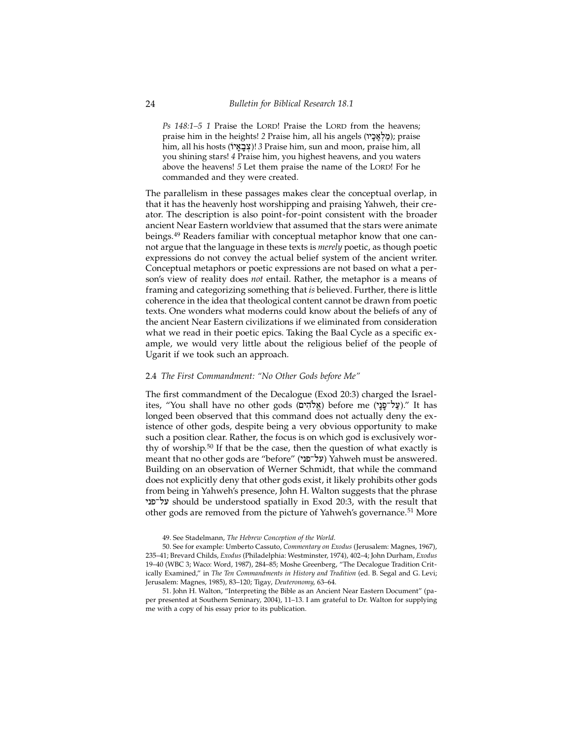*Ps* 148:1–5 1 Praise the LORD! Praise the LORD from the heavens; praise him in the heights! *2* Praise him, all his angels (מַלְאָבָיו); praise him, all his hosts (/ya:b:x})! *3* Praise him, sun and moon, praise him, all you shining stars! *4* Praise him, you highest heavens, and you waters above the heavens! *5* Let them praise the name of the LORD! For he commanded and they were created.

The parallelism in these passages makes clear the conceptual overlap, in that it has the heavenly host worshipping and praising Yahweh, their creator. The description is also point-for-point consistent with the broader ancient Near Eastern worldview that assumed that the stars were animate beings.49 Readers familiar with conceptual metaphor know that one cannot argue that the language in these texts is *merely* poetic, as though poetic expressions do not convey the actual belief system of the ancient writer. Conceptual metaphors or poetic expressions are not based on what a person's view of reality does *not* entail. Rather, the metaphor is a means of framing and categorizing something that *is* believed. Further, there is little coherence in the idea that theological content cannot be drawn from poetic texts. One wonders what moderns could know about the beliefs of any of the ancient Near Eastern civilizations if we eliminated from consideration what we read in their poetic epics. Taking the Baal Cycle as a specific example, we would very little about the religious belief of the people of Ugarit if we took such an approach.

#### 2.4 *The First Commandment: "No Other Gods before Me"*

The first commandment of the Decalogue (Exod 20:3) charged the Israelites, "You shall have no other gods (אֱלֹהִים) before me (עֲלוֹפֵנֵי)." It has longed been observed that this command does not actually deny the existence of other gods, despite being a very obvious opportunity to make such a position clear. Rather, the focus is on which god is exclusively worthy of worship.50 If that be the case, then the question of what exactly is meant that no other gods are "before" (על־פני) Yahweh must be answered. Building on an observation of Werner Schmidt, that while the command does not explicitly deny that other gods exist, it likely prohibits other gods from being in Yahweh's presence, John H. Walton suggests that the phrase ynpAl[ should be understood spatially in Exod 20:3, with the result that other gods are removed from the picture of Yahweh's governance.<sup>51</sup> More

49. See Stadelmann, *The Hebrew Conception of the World*.

50. See for example: Umberto Cassuto, *Commentary on Exodus* (Jerusalem: Magnes, 1967), 235–41; Brevard Childs, *Exodus* (Philadelphia: Westminster, 1974), 402–4; John Durham, *Exodus* 19–40 (WBC 3; Waco: Word, 1987), 284–85; Moshe Greenberg, "The Decalogue Tradition Critically Examined," in *The Ten Commandments in History and Tradition* (ed. B. Segal and G. Levi; Jerusalem: Magnes, 1985), 83–120; Tigay, *Deuteronomy*, 63–64.

51. John H. Walton, "Interpreting the Bible as an Ancient Near Eastern Document" (paper presented at Southern Seminary, 2004), 11–13. I am grateful to Dr. Walton for supplying me with a copy of his essay prior to its publication.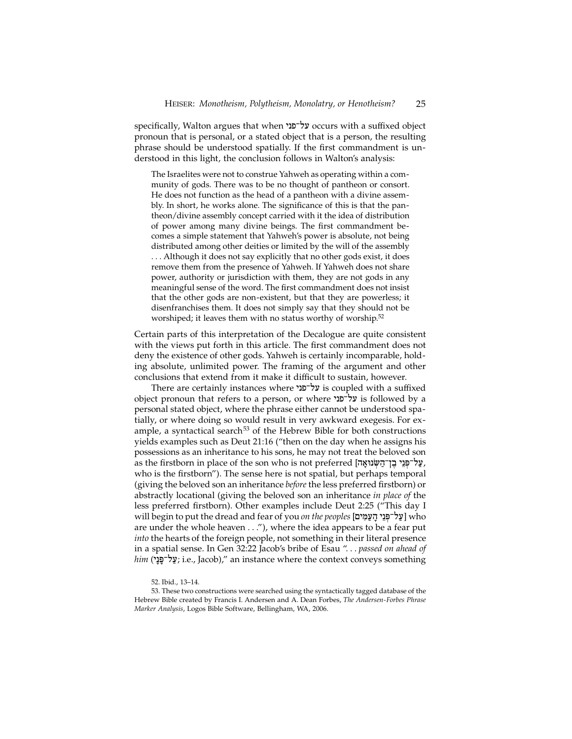specifically, Walton argues that when על־פני occurs with a suffixed object pronoun that is personal, or a stated object that is a person, the resulting phrase should be understood spatially. If the first commandment is understood in this light, the conclusion follows in Walton's analysis:

The Israelites were not to construe Yahweh as operating within a community of gods. There was to be no thought of pantheon or consort. He does not function as the head of a pantheon with a divine assembly. In short, he works alone. The significance of this is that the pantheon/divine assembly concept carried with it the idea of distribution of power among many divine beings. The first commandment becomes a simple statement that Yahweh's power is absolute, not being distributed among other deities or limited by the will of the assembly . . . Although it does not say explicitly that no other gods exist, it does remove them from the presence of Yahweh. If Yahweh does not share power, authority or jurisdiction with them, they are not gods in any meaningful sense of the word. The first commandment does not insist that the other gods are non-existent, but that they are powerless; it disenfranchises them. It does not simply say that they should not be worshiped; it leaves them with no status worthy of worship.<sup>52</sup>

Certain parts of this interpretation of the Decalogue are quite consistent with the views put forth in this article. The first commandment does not deny the existence of other gods. Yahweh is certainly incomparable, holding absolute, unlimited power. The framing of the argument and other conclusions that extend from it make it difficult to sustain, however.

There are certainly instances where על־פני is coupled with a suffixed object pronoun that refers to a person, or where על־פני is followed by a personal stated object, where the phrase either cannot be understood spatially, or where doing so would result in very awkward exegesis. For example, a syntactical search $53$  of the Hebrew Bible for both constructions yields examples such as Deut 21:16 ("then on the day when he assigns his possessions as an inheritance to his sons, he may not treat the beloved son as the firstborn in place of the son who is not preferred [עַל־פְּנֵי בֵן־הַשְׂנוּאֲה, who is the firstborn"). The sense here is not spatial, but perhaps temporal (giving the beloved son an inheritance *before* the less preferred firstborn) or abstractly locational (giving the beloved son an inheritance *in place of* the less preferred firstborn). Other examples include Deut 2:25 ("This day I will begin to put the dread and fear of you *on the peoples* [עַל־פְּנֵי הֲעַמִּים] who are under the whole heaven . . ."), where the idea appears to be a fear put *into* the hearts of the foreign people, not something in their literal presence in a spatial sense. In Gen 32:22 Jacob's bribe of Esau ". . . *passed on ahead of him* (עֲל־פַּנֵי; i.e., Jacob)," an instance where the context conveys something

<sup>52.</sup> Ibid., 13–14.

<sup>53.</sup> These two constructions were searched using the syntactically tagged database of the Hebrew Bible created by Francis I. Andersen and A. Dean Forbes, *The Andersen-Forbes Phrase Marker Analysis*, Logos Bible Software, Bellingham, WA, 2006.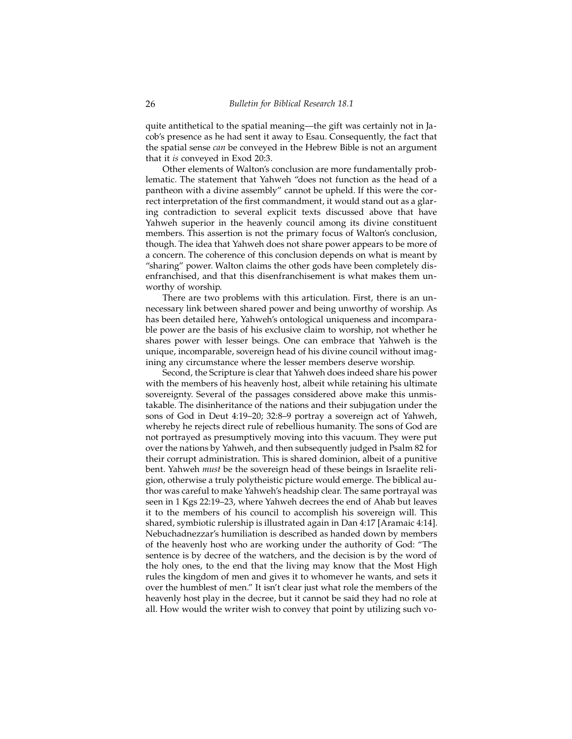quite antithetical to the spatial meaning—the gift was certainly not in Jacob's presence as he had sent it away to Esau. Consequently, the fact that the spatial sense *can* be conveyed in the Hebrew Bible is not an argument that it *is* conveyed in Exod 20:3.

Other elements of Walton's conclusion are more fundamentally problematic. The statement that Yahweh "does not function as the head of a pantheon with a divine assembly" cannot be upheld. If this were the correct interpretation of the first commandment, it would stand out as a glaring contradiction to several explicit texts discussed above that have Yahweh superior in the heavenly council among its divine constituent members. This assertion is not the primary focus of Walton's conclusion, though. The idea that Yahweh does not share power appears to be more of a concern. The coherence of this conclusion depends on what is meant by "sharing" power. Walton claims the other gods have been completely disenfranchised, and that this disenfranchisement is what makes them unworthy of worship.

There are two problems with this articulation. First, there is an unnecessary link between shared power and being unworthy of worship. As has been detailed here, Yahweh's ontological uniqueness and incomparable power are the basis of his exclusive claim to worship, not whether he shares power with lesser beings. One can embrace that Yahweh is the unique, incomparable, sovereign head of his divine council without imagining any circumstance where the lesser members deserve worship.

Second, the Scripture is clear that Yahweh does indeed share his power with the members of his heavenly host, albeit while retaining his ultimate sovereignty. Several of the passages considered above make this unmistakable. The disinheritance of the nations and their subjugation under the sons of God in Deut 4:19–20; 32:8–9 portray a sovereign act of Yahweh, whereby he rejects direct rule of rebellious humanity. The sons of God are not portrayed as presumptively moving into this vacuum. They were put over the nations by Yahweh, and then subsequently judged in Psalm 82 for their corrupt administration. This is shared dominion, albeit of a punitive bent. Yahweh *must* be the sovereign head of these beings in Israelite religion, otherwise a truly polytheistic picture would emerge. The biblical author was careful to make Yahweh's headship clear. The same portrayal was seen in 1 Kgs 22:19–23, where Yahweh decrees the end of Ahab but leaves it to the members of his council to accomplish his sovereign will. This shared, symbiotic rulership is illustrated again in Dan 4:17 [Aramaic 4:14]. Nebuchadnezzar's humiliation is described as handed down by members of the heavenly host who are working under the authority of God: "The sentence is by decree of the watchers, and the decision is by the word of the holy ones, to the end that the living may know that the Most High rules the kingdom of men and gives it to whomever he wants, and sets it over the humblest of men." It isn't clear just what role the members of the heavenly host play in the decree, but it cannot be said they had no role at all. How would the writer wish to convey that point by utilizing such vo-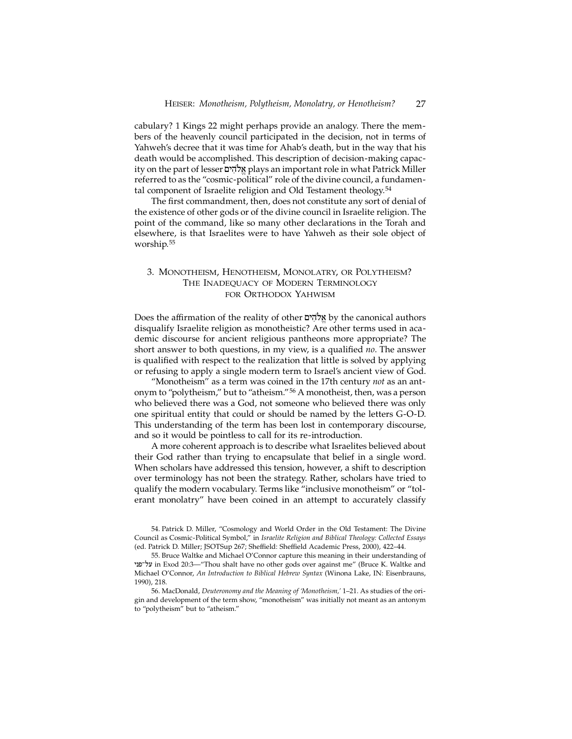cabulary? 1 Kings 22 might perhaps provide an analogy. There the members of the heavenly council participated in the decision, not in terms of Yahweh's decree that it was time for Ahab's death, but in the way that his death would be accomplished. This description of decision-making capacity on the part of lesser אלהים plays an important role in what Patrick Miller referred to as the "cosmic-political" role of the divine council, a fundamental component of Israelite religion and Old Testament theology.<sup>54</sup>

The first commandment, then, does not constitute any sort of denial of the existence of other gods or of the divine council in Israelite religion. The point of the command, like so many other declarations in the Torah and elsewhere, is that Israelites were to have Yahweh as their sole object of worship.55

## 3. Monotheism, Henotheism, Monolatry, or Polytheism? THE INADEOUACY OF MODERN TERMINOLOGY for Orthodox Yahwism

Does the affirmation of the reality of other אֱלֹהִים by the canonical authors disqualify Israelite religion as monotheistic? Are other terms used in academic discourse for ancient religious pantheons more appropriate? The short answer to both questions, in my view, is a qualified *no*. The answer is qualified with respect to the realization that little is solved by applying or refusing to apply a single modern term to Israel's ancient view of God.

"Monotheism" as a term was coined in the 17th century *not* as an antonym to "polytheism," but to "atheism."56 A monotheist, then, was a person who believed there was a God, not someone who believed there was only one spiritual entity that could or should be named by the letters G-O-D. This understanding of the term has been lost in contemporary discourse, and so it would be pointless to call for its re-introduction.

A more coherent approach is to describe what Israelites believed about their God rather than trying to encapsulate that belief in a single word. When scholars have addressed this tension, however, a shift to description over terminology has not been the strategy. Rather, scholars have tried to qualify the modern vocabulary. Terms like "inclusive monotheism" or "tolerant monolatry" have been coined in an attempt to accurately classify

54. Patrick D. Miller, "Cosmology and World Order in the Old Testament: The Divine Council as Cosmic-Political Symbol," in *Israelite Religion and Biblical Theology: Collected Essays* (ed. Patrick D. Miller; JSOTSup 267; Sheffield: Sheffield Academic Press, 2000), 422–44.

55. Bruce Waltke and Michael O'Connor capture this meaning in their understanding of ynpAl[ in Exod 20:3—"Thou shalt have no other gods over against me" (Bruce K. Waltke and Michael O'Connor, *An Introduction to Biblical Hebrew Syntax* (Winona Lake, IN: Eisenbrauns, 1990), 218.

56. MacDonald, *Deuteronomy and the Meaning of 'Monotheism,'* 1–21. As studies of the origin and development of the term show, "monotheism" was initially not meant as an antonym to "polytheism" but to "atheism."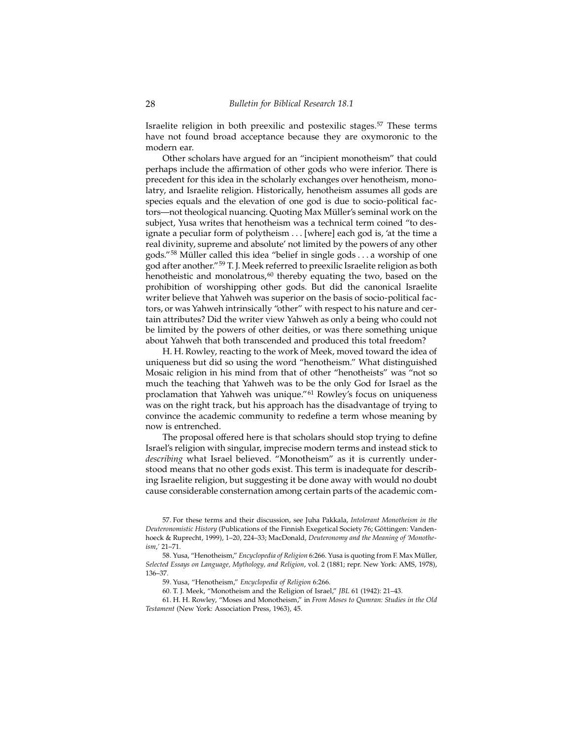Israelite religion in both preexilic and postexilic stages.<sup>57</sup> These terms have not found broad acceptance because they are oxymoronic to the modern ear.

Other scholars have argued for an "incipient monotheism" that could perhaps include the affirmation of other gods who were inferior. There is precedent for this idea in the scholarly exchanges over henotheism, monolatry, and Israelite religion. Historically, henotheism assumes all gods are species equals and the elevation of one god is due to socio-political factors—not theological nuancing. Quoting Max Müller's seminal work on the subject, Yusa writes that henotheism was a technical term coined "to designate a peculiar form of polytheism . . . [where] each god is, 'at the time a real divinity, supreme and absolute' not limited by the powers of any other gods."58 Müller called this idea "belief in single gods . . . a worship of one god after another."59 T. J. Meek referred to preexilic Israelite religion as both henotheistic and monolatrous,<sup>60</sup> thereby equating the two, based on the prohibition of worshipping other gods. But did the canonical Israelite writer believe that Yahweh was superior on the basis of socio-political factors, or was Yahweh intrinsically "other" with respect to his nature and certain attributes? Did the writer view Yahweh as only a being who could not be limited by the powers of other deities, or was there something unique about Yahweh that both transcended and produced this total freedom?

H. H. Rowley, reacting to the work of Meek, moved toward the idea of uniqueness but did so using the word "henotheism." What distinguished Mosaic religion in his mind from that of other "henotheists" was "not so much the teaching that Yahweh was to be the only God for Israel as the proclamation that Yahweh was unique."61 Rowley's focus on uniqueness was on the right track, but his approach has the disadvantage of trying to convince the academic community to redefine a term whose meaning by now is entrenched.

The proposal offered here is that scholars should stop trying to define Israel's religion with singular, imprecise modern terms and instead stick to *describing* what Israel believed. "Monotheism" as it is currently understood means that no other gods exist. This term is inadequate for describing Israelite religion, but suggesting it be done away with would no doubt cause considerable consternation among certain parts of the academic com-

59. Yusa, "Henotheism," *Encyclopedia of Religion* 6:266.

60. T. J. Meek, "Monotheism and the Religion of Israel," *JBL* 61 (1942): 21–43.

61. H. H. Rowley, "Moses and Monotheism," in *From Moses to Qumran: Studies in the Old Testament* (New York: Association Press, 1963), 45.

<sup>57.</sup> For these terms and their discussion, see Juha Pakkala, *Intolerant Monotheism in the Deuteronomistic History* (Publications of the Finnish Exegetical Society 76; Göttingen: Vandenhoeck & Ruprecht, 1999), 1–20, 224–33; MacDonald, *Deuteronomy and the Meaning of 'Monotheism*,*'* 21–71.

<sup>58.</sup> Yusa, "Henotheism," *Encyclopedia of Religion* 6:266. Yusa is quoting from F. Max Müller, *Selected Essays on Language, Mythology, and Religion*, vol. 2 (1881; repr. New York: AMS, 1978), 136–37.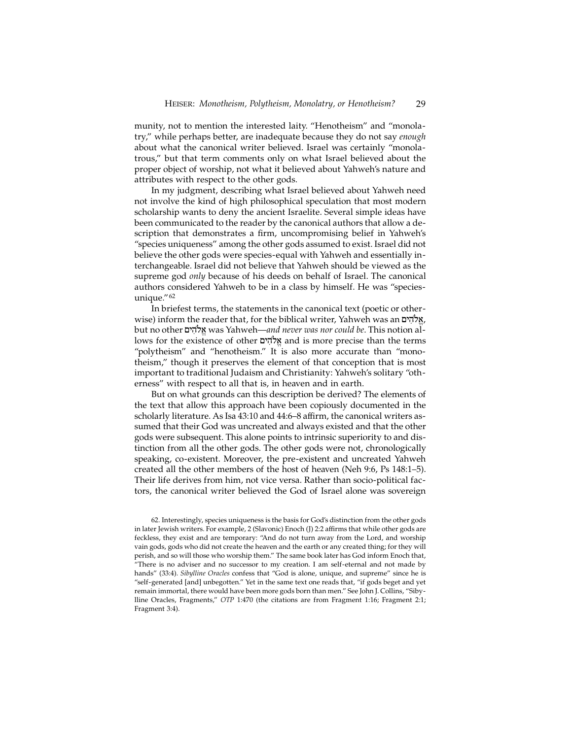munity, not to mention the interested laity. "Henotheism" and "monolatry," while perhaps better, are inadequate because they do not say *enough* about what the canonical writer believed. Israel was certainly "monolatrous," but that term comments only on what Israel believed about the proper object of worship, not what it believed about Yahweh's nature and attributes with respect to the other gods.

In my judgment, describing what Israel believed about Yahweh need not involve the kind of high philosophical speculation that most modern scholarship wants to deny the ancient Israelite. Several simple ideas have been communicated to the reader by the canonical authors that allow a description that demonstrates a firm, uncompromising belief in Yahweh's "species uniqueness" among the other gods assumed to exist. Israel did not believe the other gods were species-equal with Yahweh and essentially interchangeable. Israel did not believe that Yahweh should be viewed as the supreme god *only* because of his deeds on behalf of Israel. The canonical authors considered Yahweh to be in a class by himself. He was "speciesunique."62

In briefest terms, the statements in the canonical text (poetic or otherwise) inform the reader that, for the biblical writer, Yahweh was an אֱלֹהִים, but no other µyhIløa"was Yahweh—*and never was nor could be*. This notion allows for the existence of other אלהים and is more precise than the terms "polytheism" and "henotheism." It is also more accurate than "monotheism," though it preserves the element of that conception that is most important to traditional Judaism and Christianity: Yahweh's solitary "otherness" with respect to all that is, in heaven and in earth.

But on what grounds can this description be derived? The elements of the text that allow this approach have been copiously documented in the scholarly literature. As Isa 43:10 and 44:6–8 affirm, the canonical writers assumed that their God was uncreated and always existed and that the other gods were subsequent. This alone points to intrinsic superiority to and distinction from all the other gods. The other gods were not, chronologically speaking, co-existent. Moreover, the pre-existent and uncreated Yahweh created all the other members of the host of heaven (Neh 9:6, Ps 148:1–5). Their life derives from him, not vice versa. Rather than socio-political factors, the canonical writer believed the God of Israel alone was sovereign

62. Interestingly, species uniqueness is the basis for God's distinction from the other gods in later Jewish writers. For example, 2 (Slavonic) Enoch (J) 2:2 affirms that while other gods are feckless, they exist and are temporary: "And do not turn away from the Lord, and worship vain gods, gods who did not create the heaven and the earth or any created thing; for they will perish, and so will those who worship them." The same book later has God inform Enoch that, "There is no adviser and no successor to my creation. I am self-eternal and not made by hands" (33:4). *Sibylline Oracles* confess that "God is alone, unique, and supreme" since he is "self-generated [and] unbegotten." Yet in the same text one reads that, "if gods beget and yet remain immortal, there would have been more gods born than men." See John J. Collins, "Sibylline Oracles, Fragments," *OTP* 1:470 (the citations are from Fragment 1:16; Fragment 2:1; Fragment 3:4).